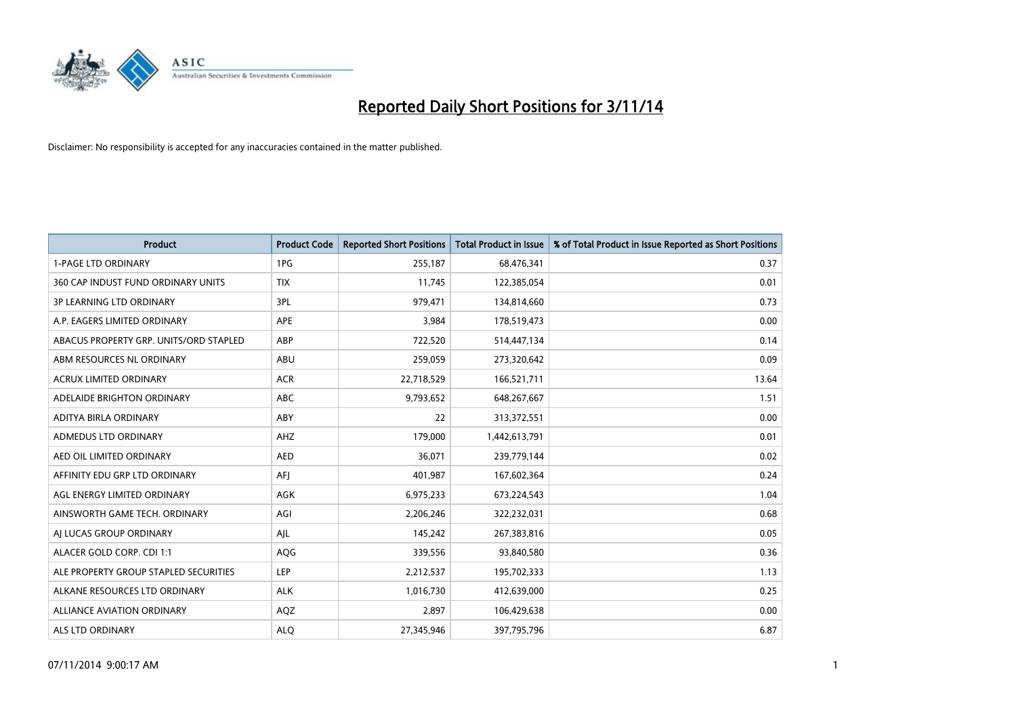

| <b>Product</b>                         | <b>Product Code</b> | <b>Reported Short Positions</b> | <b>Total Product in Issue</b> | % of Total Product in Issue Reported as Short Positions |
|----------------------------------------|---------------------|---------------------------------|-------------------------------|---------------------------------------------------------|
| <b>1-PAGE LTD ORDINARY</b>             | 1PG                 | 255,187                         | 68,476,341                    | 0.37                                                    |
| 360 CAP INDUST FUND ORDINARY UNITS     | <b>TIX</b>          | 11,745                          | 122,385,054                   | 0.01                                                    |
| <b>3P LEARNING LTD ORDINARY</b>        | 3PL                 | 979,471                         | 134,814,660                   | 0.73                                                    |
| A.P. EAGERS LIMITED ORDINARY           | <b>APE</b>          | 3,984                           | 178,519,473                   | 0.00                                                    |
| ABACUS PROPERTY GRP. UNITS/ORD STAPLED | ABP                 | 722,520                         | 514,447,134                   | 0.14                                                    |
| ABM RESOURCES NL ORDINARY              | ABU                 | 259,059                         | 273,320,642                   | 0.09                                                    |
| <b>ACRUX LIMITED ORDINARY</b>          | <b>ACR</b>          | 22,718,529                      | 166,521,711                   | 13.64                                                   |
| ADELAIDE BRIGHTON ORDINARY             | <b>ABC</b>          | 9,793,652                       | 648,267,667                   | 1.51                                                    |
| ADITYA BIRLA ORDINARY                  | ABY                 | 22                              | 313,372,551                   | 0.00                                                    |
| ADMEDUS LTD ORDINARY                   | AHZ                 | 179,000                         | 1,442,613,791                 | 0.01                                                    |
| AED OIL LIMITED ORDINARY               | <b>AED</b>          | 36,071                          | 239,779,144                   | 0.02                                                    |
| AFFINITY EDU GRP LTD ORDINARY          | AFJ                 | 401,987                         | 167,602,364                   | 0.24                                                    |
| AGL ENERGY LIMITED ORDINARY            | AGK                 | 6,975,233                       | 673,224,543                   | 1.04                                                    |
| AINSWORTH GAME TECH. ORDINARY          | AGI                 | 2,206,246                       | 322,232,031                   | 0.68                                                    |
| AI LUCAS GROUP ORDINARY                | AJL                 | 145,242                         | 267,383,816                   | 0.05                                                    |
| ALACER GOLD CORP. CDI 1:1              | AQG                 | 339,556                         | 93,840,580                    | 0.36                                                    |
| ALE PROPERTY GROUP STAPLED SECURITIES  | LEP                 | 2,212,537                       | 195,702,333                   | 1.13                                                    |
| ALKANE RESOURCES LTD ORDINARY          | <b>ALK</b>          | 1,016,730                       | 412,639,000                   | 0.25                                                    |
| ALLIANCE AVIATION ORDINARY             | AQZ                 | 2,897                           | 106,429,638                   | 0.00                                                    |
| ALS LTD ORDINARY                       | <b>ALO</b>          | 27,345,946                      | 397,795,796                   | 6.87                                                    |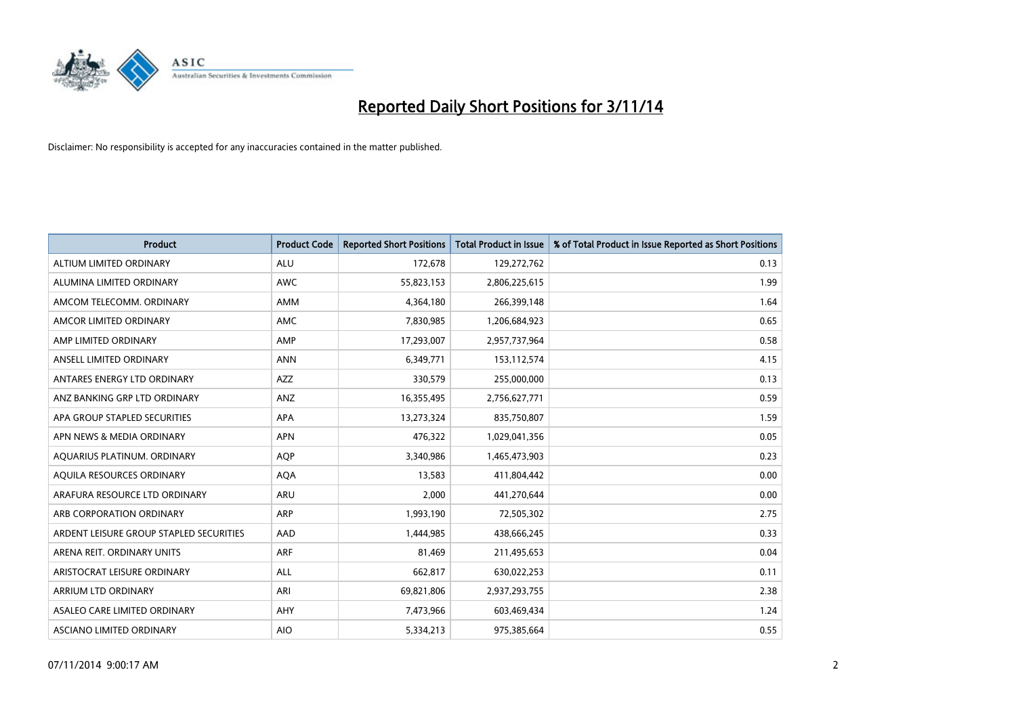

| <b>Product</b>                          | <b>Product Code</b> | <b>Reported Short Positions</b> | <b>Total Product in Issue</b> | % of Total Product in Issue Reported as Short Positions |
|-----------------------------------------|---------------------|---------------------------------|-------------------------------|---------------------------------------------------------|
| ALTIUM LIMITED ORDINARY                 | <b>ALU</b>          | 172,678                         | 129,272,762                   | 0.13                                                    |
| ALUMINA LIMITED ORDINARY                | <b>AWC</b>          | 55,823,153                      | 2,806,225,615                 | 1.99                                                    |
| AMCOM TELECOMM, ORDINARY                | <b>AMM</b>          | 4,364,180                       | 266,399,148                   | 1.64                                                    |
| AMCOR LIMITED ORDINARY                  | <b>AMC</b>          | 7,830,985                       | 1,206,684,923                 | 0.65                                                    |
| AMP LIMITED ORDINARY                    | AMP                 | 17,293,007                      | 2,957,737,964                 | 0.58                                                    |
| ANSELL LIMITED ORDINARY                 | <b>ANN</b>          | 6,349,771                       | 153,112,574                   | 4.15                                                    |
| ANTARES ENERGY LTD ORDINARY             | AZZ                 | 330,579                         | 255,000,000                   | 0.13                                                    |
| ANZ BANKING GRP LTD ORDINARY            | ANZ                 | 16,355,495                      | 2,756,627,771                 | 0.59                                                    |
| APA GROUP STAPLED SECURITIES            | APA                 | 13,273,324                      | 835,750,807                   | 1.59                                                    |
| APN NEWS & MEDIA ORDINARY               | <b>APN</b>          | 476,322                         | 1,029,041,356                 | 0.05                                                    |
| AQUARIUS PLATINUM. ORDINARY             | AQP                 | 3,340,986                       | 1,465,473,903                 | 0.23                                                    |
| AQUILA RESOURCES ORDINARY               | <b>AQA</b>          | 13,583                          | 411,804,442                   | 0.00                                                    |
| ARAFURA RESOURCE LTD ORDINARY           | ARU                 | 2,000                           | 441,270,644                   | 0.00                                                    |
| ARB CORPORATION ORDINARY                | ARP                 | 1,993,190                       | 72,505,302                    | 2.75                                                    |
| ARDENT LEISURE GROUP STAPLED SECURITIES | AAD                 | 1,444,985                       | 438,666,245                   | 0.33                                                    |
| ARENA REIT. ORDINARY UNITS              | ARF                 | 81,469                          | 211,495,653                   | 0.04                                                    |
| ARISTOCRAT LEISURE ORDINARY             | ALL                 | 662,817                         | 630,022,253                   | 0.11                                                    |
| <b>ARRIUM LTD ORDINARY</b>              | ARI                 | 69,821,806                      | 2,937,293,755                 | 2.38                                                    |
| ASALEO CARE LIMITED ORDINARY            | AHY                 | 7,473,966                       | 603,469,434                   | 1.24                                                    |
| ASCIANO LIMITED ORDINARY                | <b>AIO</b>          | 5,334,213                       | 975,385,664                   | 0.55                                                    |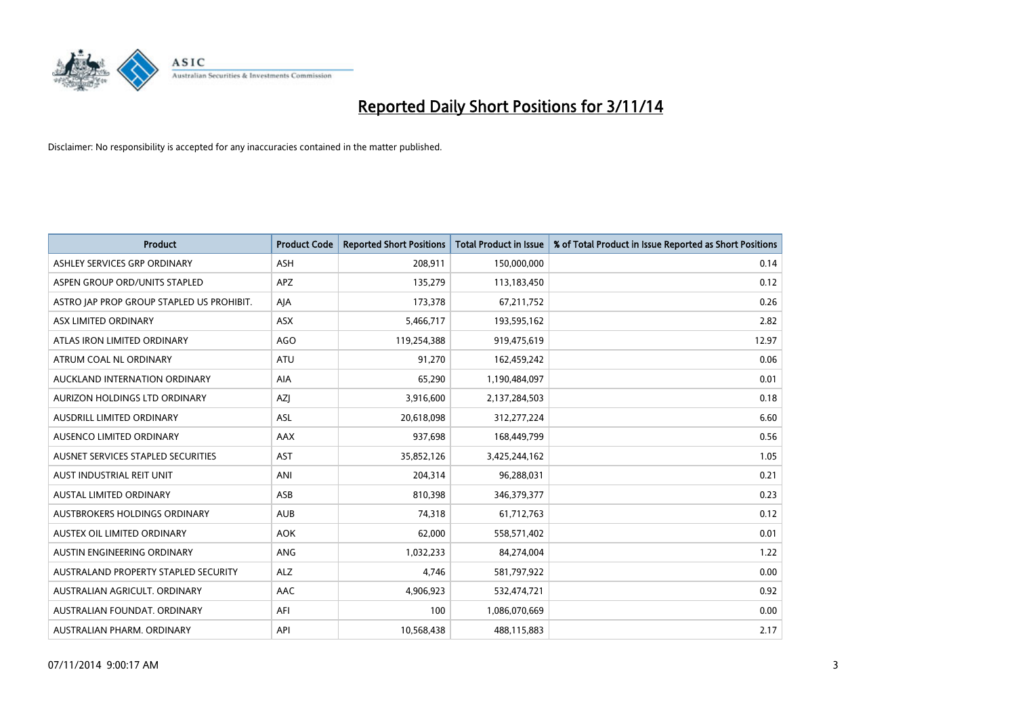

| <b>Product</b>                            | <b>Product Code</b> | <b>Reported Short Positions</b> | <b>Total Product in Issue</b> | % of Total Product in Issue Reported as Short Positions |
|-------------------------------------------|---------------------|---------------------------------|-------------------------------|---------------------------------------------------------|
| ASHLEY SERVICES GRP ORDINARY              | <b>ASH</b>          | 208,911                         | 150,000,000                   | 0.14                                                    |
| ASPEN GROUP ORD/UNITS STAPLED             | <b>APZ</b>          | 135,279                         | 113,183,450                   | 0.12                                                    |
| ASTRO JAP PROP GROUP STAPLED US PROHIBIT. | AJA                 | 173,378                         | 67,211,752                    | 0.26                                                    |
| ASX LIMITED ORDINARY                      | ASX                 | 5,466,717                       | 193,595,162                   | 2.82                                                    |
| ATLAS IRON LIMITED ORDINARY               | <b>AGO</b>          | 119,254,388                     | 919,475,619                   | 12.97                                                   |
| ATRUM COAL NL ORDINARY                    | <b>ATU</b>          | 91,270                          | 162,459,242                   | 0.06                                                    |
| AUCKLAND INTERNATION ORDINARY             | AIA                 | 65,290                          | 1,190,484,097                 | 0.01                                                    |
| AURIZON HOLDINGS LTD ORDINARY             | AZJ                 | 3,916,600                       | 2,137,284,503                 | 0.18                                                    |
| AUSDRILL LIMITED ORDINARY                 | <b>ASL</b>          | 20,618,098                      | 312,277,224                   | 6.60                                                    |
| AUSENCO LIMITED ORDINARY                  | AAX                 | 937,698                         | 168,449,799                   | 0.56                                                    |
| AUSNET SERVICES STAPLED SECURITIES        | AST                 | 35,852,126                      | 3,425,244,162                 | 1.05                                                    |
| AUST INDUSTRIAL REIT UNIT                 | ANI                 | 204,314                         | 96,288,031                    | 0.21                                                    |
| AUSTAL LIMITED ORDINARY                   | ASB                 | 810,398                         | 346, 379, 377                 | 0.23                                                    |
| AUSTBROKERS HOLDINGS ORDINARY             | <b>AUB</b>          | 74,318                          | 61,712,763                    | 0.12                                                    |
| AUSTEX OIL LIMITED ORDINARY               | <b>AOK</b>          | 62,000                          | 558,571,402                   | 0.01                                                    |
| AUSTIN ENGINEERING ORDINARY               | ANG                 | 1,032,233                       | 84,274,004                    | 1.22                                                    |
| AUSTRALAND PROPERTY STAPLED SECURITY      | <b>ALZ</b>          | 4,746                           | 581,797,922                   | 0.00                                                    |
| AUSTRALIAN AGRICULT. ORDINARY             | AAC                 | 4,906,923                       | 532,474,721                   | 0.92                                                    |
| AUSTRALIAN FOUNDAT, ORDINARY              | AFI                 | 100                             | 1,086,070,669                 | 0.00                                                    |
| AUSTRALIAN PHARM. ORDINARY                | API                 | 10,568,438                      | 488,115,883                   | 2.17                                                    |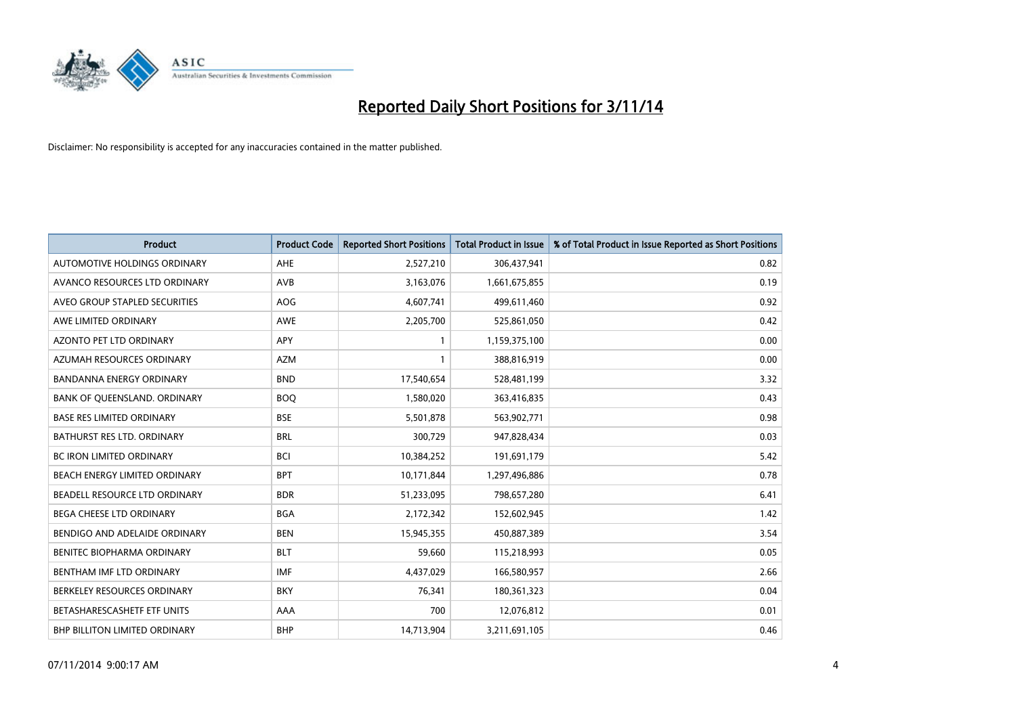

| <b>Product</b>                       | <b>Product Code</b> | <b>Reported Short Positions</b> | <b>Total Product in Issue</b> | % of Total Product in Issue Reported as Short Positions |
|--------------------------------------|---------------------|---------------------------------|-------------------------------|---------------------------------------------------------|
| AUTOMOTIVE HOLDINGS ORDINARY         | AHE                 | 2,527,210                       | 306,437,941                   | 0.82                                                    |
| AVANCO RESOURCES LTD ORDINARY        | AVB                 | 3,163,076                       | 1,661,675,855                 | 0.19                                                    |
| AVEO GROUP STAPLED SECURITIES        | AOG                 | 4,607,741                       | 499,611,460                   | 0.92                                                    |
| AWE LIMITED ORDINARY                 | AWE                 | 2,205,700                       | 525,861,050                   | 0.42                                                    |
| AZONTO PET LTD ORDINARY              | <b>APY</b>          | $\mathbf{1}$                    | 1,159,375,100                 | 0.00                                                    |
| AZUMAH RESOURCES ORDINARY            | <b>AZM</b>          | 1                               | 388,816,919                   | 0.00                                                    |
| <b>BANDANNA ENERGY ORDINARY</b>      | <b>BND</b>          | 17,540,654                      | 528,481,199                   | 3.32                                                    |
| BANK OF QUEENSLAND. ORDINARY         | <b>BOQ</b>          | 1,580,020                       | 363,416,835                   | 0.43                                                    |
| <b>BASE RES LIMITED ORDINARY</b>     | <b>BSE</b>          | 5,501,878                       | 563,902,771                   | 0.98                                                    |
| BATHURST RES LTD. ORDINARY           | <b>BRL</b>          | 300,729                         | 947,828,434                   | 0.03                                                    |
| BC IRON LIMITED ORDINARY             | <b>BCI</b>          | 10,384,252                      | 191,691,179                   | 5.42                                                    |
| BEACH ENERGY LIMITED ORDINARY        | <b>BPT</b>          | 10,171,844                      | 1,297,496,886                 | 0.78                                                    |
| BEADELL RESOURCE LTD ORDINARY        | <b>BDR</b>          | 51,233,095                      | 798,657,280                   | 6.41                                                    |
| <b>BEGA CHEESE LTD ORDINARY</b>      | <b>BGA</b>          | 2,172,342                       | 152,602,945                   | 1.42                                                    |
| BENDIGO AND ADELAIDE ORDINARY        | <b>BEN</b>          | 15,945,355                      | 450,887,389                   | 3.54                                                    |
| BENITEC BIOPHARMA ORDINARY           | <b>BLT</b>          | 59,660                          | 115,218,993                   | 0.05                                                    |
| BENTHAM IMF LTD ORDINARY             | <b>IMF</b>          | 4,437,029                       | 166,580,957                   | 2.66                                                    |
| BERKELEY RESOURCES ORDINARY          | <b>BKY</b>          | 76,341                          | 180,361,323                   | 0.04                                                    |
| BETASHARESCASHETF ETF UNITS          | AAA                 | 700                             | 12,076,812                    | 0.01                                                    |
| <b>BHP BILLITON LIMITED ORDINARY</b> | <b>BHP</b>          | 14,713,904                      | 3,211,691,105                 | 0.46                                                    |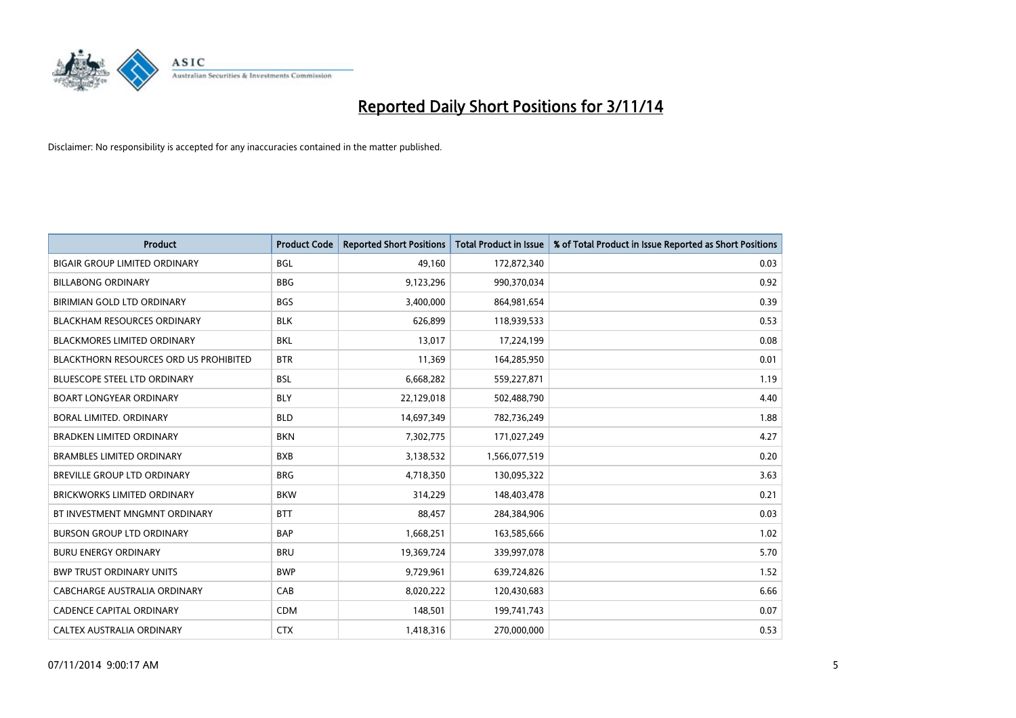

| <b>Product</b>                                | <b>Product Code</b> | <b>Reported Short Positions</b> | <b>Total Product in Issue</b> | % of Total Product in Issue Reported as Short Positions |
|-----------------------------------------------|---------------------|---------------------------------|-------------------------------|---------------------------------------------------------|
| <b>BIGAIR GROUP LIMITED ORDINARY</b>          | <b>BGL</b>          | 49,160                          | 172,872,340                   | 0.03                                                    |
| <b>BILLABONG ORDINARY</b>                     | <b>BBG</b>          | 9,123,296                       | 990,370,034                   | 0.92                                                    |
| BIRIMIAN GOLD LTD ORDINARY                    | BGS                 | 3,400,000                       | 864,981,654                   | 0.39                                                    |
| <b>BLACKHAM RESOURCES ORDINARY</b>            | <b>BLK</b>          | 626,899                         | 118,939,533                   | 0.53                                                    |
| <b>BLACKMORES LIMITED ORDINARY</b>            | <b>BKL</b>          | 13,017                          | 17,224,199                    | 0.08                                                    |
| <b>BLACKTHORN RESOURCES ORD US PROHIBITED</b> | <b>BTR</b>          | 11,369                          | 164,285,950                   | 0.01                                                    |
| BLUESCOPE STEEL LTD ORDINARY                  | <b>BSL</b>          | 6,668,282                       | 559,227,871                   | 1.19                                                    |
| <b>BOART LONGYEAR ORDINARY</b>                | <b>BLY</b>          | 22,129,018                      | 502,488,790                   | 4.40                                                    |
| <b>BORAL LIMITED, ORDINARY</b>                | <b>BLD</b>          | 14,697,349                      | 782,736,249                   | 1.88                                                    |
| <b>BRADKEN LIMITED ORDINARY</b>               | <b>BKN</b>          | 7,302,775                       | 171,027,249                   | 4.27                                                    |
| <b>BRAMBLES LIMITED ORDINARY</b>              | <b>BXB</b>          | 3,138,532                       | 1,566,077,519                 | 0.20                                                    |
| BREVILLE GROUP LTD ORDINARY                   | <b>BRG</b>          | 4,718,350                       | 130,095,322                   | 3.63                                                    |
| <b>BRICKWORKS LIMITED ORDINARY</b>            | <b>BKW</b>          | 314,229                         | 148,403,478                   | 0.21                                                    |
| BT INVESTMENT MNGMNT ORDINARY                 | <b>BTT</b>          | 88,457                          | 284,384,906                   | 0.03                                                    |
| <b>BURSON GROUP LTD ORDINARY</b>              | <b>BAP</b>          | 1,668,251                       | 163,585,666                   | 1.02                                                    |
| <b>BURU ENERGY ORDINARY</b>                   | <b>BRU</b>          | 19,369,724                      | 339,997,078                   | 5.70                                                    |
| <b>BWP TRUST ORDINARY UNITS</b>               | <b>BWP</b>          | 9,729,961                       | 639,724,826                   | 1.52                                                    |
| <b>CABCHARGE AUSTRALIA ORDINARY</b>           | CAB                 | 8,020,222                       | 120,430,683                   | 6.66                                                    |
| CADENCE CAPITAL ORDINARY                      | <b>CDM</b>          | 148,501                         | 199,741,743                   | 0.07                                                    |
| CALTEX AUSTRALIA ORDINARY                     | <b>CTX</b>          | 1,418,316                       | 270,000,000                   | 0.53                                                    |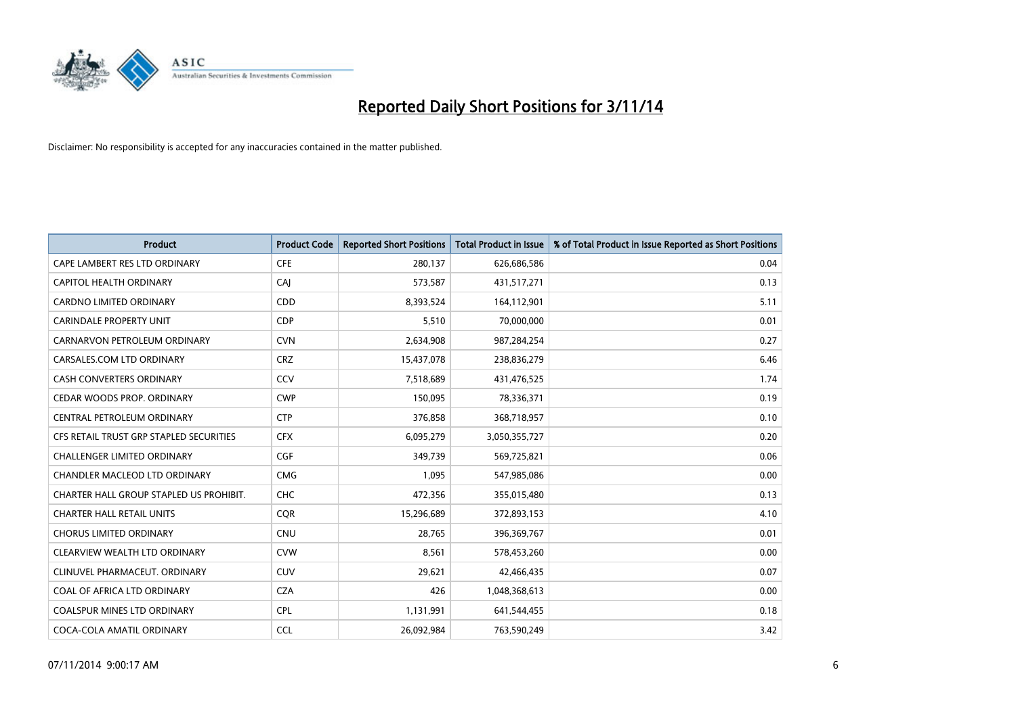

| <b>Product</b>                          | <b>Product Code</b> | <b>Reported Short Positions</b> | <b>Total Product in Issue</b> | % of Total Product in Issue Reported as Short Positions |
|-----------------------------------------|---------------------|---------------------------------|-------------------------------|---------------------------------------------------------|
| CAPE LAMBERT RES LTD ORDINARY           | <b>CFE</b>          | 280,137                         | 626,686,586                   | 0.04                                                    |
| CAPITOL HEALTH ORDINARY                 | CAJ                 | 573,587                         | 431,517,271                   | 0.13                                                    |
| <b>CARDNO LIMITED ORDINARY</b>          | CDD                 | 8,393,524                       | 164,112,901                   | 5.11                                                    |
| <b>CARINDALE PROPERTY UNIT</b>          | <b>CDP</b>          | 5,510                           | 70,000,000                    | 0.01                                                    |
| CARNARVON PETROLEUM ORDINARY            | <b>CVN</b>          | 2,634,908                       | 987,284,254                   | 0.27                                                    |
| CARSALES.COM LTD ORDINARY               | <b>CRZ</b>          | 15,437,078                      | 238,836,279                   | 6.46                                                    |
| <b>CASH CONVERTERS ORDINARY</b>         | CCV                 | 7,518,689                       | 431,476,525                   | 1.74                                                    |
| CEDAR WOODS PROP. ORDINARY              | <b>CWP</b>          | 150.095                         | 78,336,371                    | 0.19                                                    |
| CENTRAL PETROLEUM ORDINARY              | <b>CTP</b>          | 376,858                         | 368,718,957                   | 0.10                                                    |
| CFS RETAIL TRUST GRP STAPLED SECURITIES | <b>CFX</b>          | 6,095,279                       | 3,050,355,727                 | 0.20                                                    |
| <b>CHALLENGER LIMITED ORDINARY</b>      | <b>CGF</b>          | 349,739                         | 569,725,821                   | 0.06                                                    |
| CHANDLER MACLEOD LTD ORDINARY           | <b>CMG</b>          | 1,095                           | 547,985,086                   | 0.00                                                    |
| CHARTER HALL GROUP STAPLED US PROHIBIT. | <b>CHC</b>          | 472,356                         | 355,015,480                   | 0.13                                                    |
| <b>CHARTER HALL RETAIL UNITS</b>        | <b>COR</b>          | 15,296,689                      | 372,893,153                   | 4.10                                                    |
| <b>CHORUS LIMITED ORDINARY</b>          | <b>CNU</b>          | 28.765                          | 396,369,767                   | 0.01                                                    |
| CLEARVIEW WEALTH LTD ORDINARY           | <b>CVW</b>          | 8,561                           | 578,453,260                   | 0.00                                                    |
| CLINUVEL PHARMACEUT. ORDINARY           | <b>CUV</b>          | 29,621                          | 42,466,435                    | 0.07                                                    |
| COAL OF AFRICA LTD ORDINARY             | <b>CZA</b>          | 426                             | 1,048,368,613                 | 0.00                                                    |
| <b>COALSPUR MINES LTD ORDINARY</b>      | <b>CPL</b>          | 1,131,991                       | 641,544,455                   | 0.18                                                    |
| COCA-COLA AMATIL ORDINARY               | <b>CCL</b>          | 26,092,984                      | 763,590,249                   | 3.42                                                    |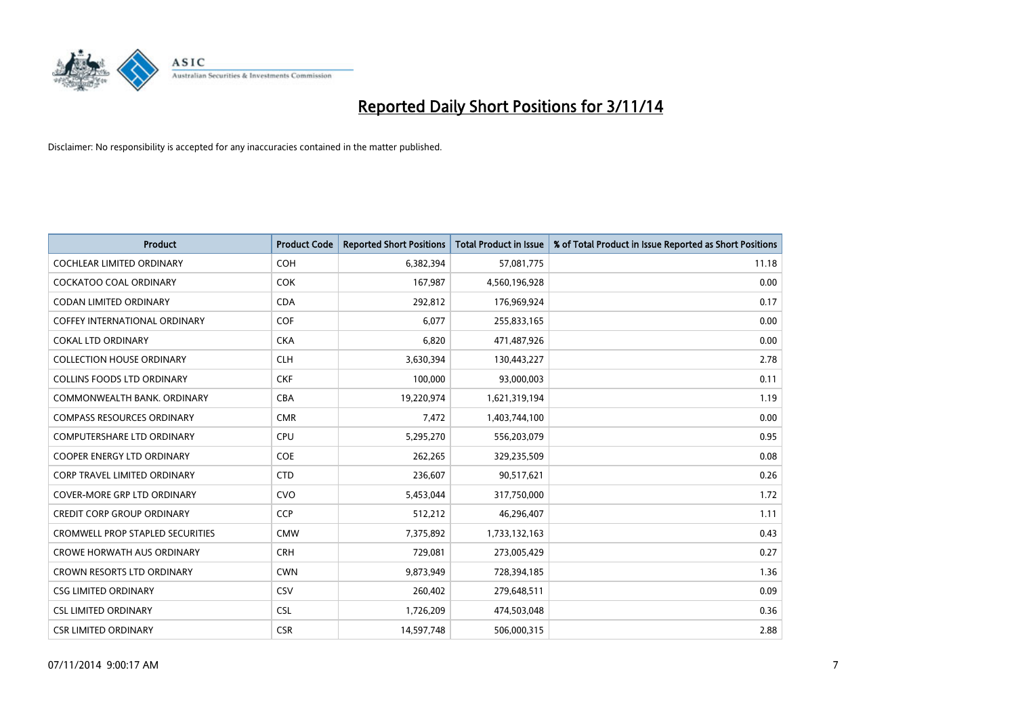

| <b>Product</b>                          | <b>Product Code</b> | <b>Reported Short Positions</b> | <b>Total Product in Issue</b> | % of Total Product in Issue Reported as Short Positions |
|-----------------------------------------|---------------------|---------------------------------|-------------------------------|---------------------------------------------------------|
| <b>COCHLEAR LIMITED ORDINARY</b>        | <b>COH</b>          | 6,382,394                       | 57,081,775                    | 11.18                                                   |
| <b>COCKATOO COAL ORDINARY</b>           | <b>COK</b>          | 167,987                         | 4,560,196,928                 | 0.00                                                    |
| <b>CODAN LIMITED ORDINARY</b>           | <b>CDA</b>          | 292,812                         | 176,969,924                   | 0.17                                                    |
| <b>COFFEY INTERNATIONAL ORDINARY</b>    | <b>COF</b>          | 6,077                           | 255,833,165                   | 0.00                                                    |
| <b>COKAL LTD ORDINARY</b>               | <b>CKA</b>          | 6,820                           | 471,487,926                   | 0.00                                                    |
| <b>COLLECTION HOUSE ORDINARY</b>        | <b>CLH</b>          | 3,630,394                       | 130,443,227                   | 2.78                                                    |
| <b>COLLINS FOODS LTD ORDINARY</b>       | <b>CKF</b>          | 100,000                         | 93,000,003                    | 0.11                                                    |
| COMMONWEALTH BANK, ORDINARY             | <b>CBA</b>          | 19,220,974                      | 1,621,319,194                 | 1.19                                                    |
| <b>COMPASS RESOURCES ORDINARY</b>       | <b>CMR</b>          | 7,472                           | 1,403,744,100                 | 0.00                                                    |
| <b>COMPUTERSHARE LTD ORDINARY</b>       | <b>CPU</b>          | 5,295,270                       | 556,203,079                   | 0.95                                                    |
| <b>COOPER ENERGY LTD ORDINARY</b>       | <b>COE</b>          | 262,265                         | 329,235,509                   | 0.08                                                    |
| <b>CORP TRAVEL LIMITED ORDINARY</b>     | <b>CTD</b>          | 236,607                         | 90,517,621                    | 0.26                                                    |
| <b>COVER-MORE GRP LTD ORDINARY</b>      | <b>CVO</b>          | 5,453,044                       | 317,750,000                   | 1.72                                                    |
| <b>CREDIT CORP GROUP ORDINARY</b>       | <b>CCP</b>          | 512,212                         | 46,296,407                    | 1.11                                                    |
| <b>CROMWELL PROP STAPLED SECURITIES</b> | <b>CMW</b>          | 7,375,892                       | 1,733,132,163                 | 0.43                                                    |
| <b>CROWE HORWATH AUS ORDINARY</b>       | <b>CRH</b>          | 729,081                         | 273,005,429                   | 0.27                                                    |
| CROWN RESORTS LTD ORDINARY              | <b>CWN</b>          | 9,873,949                       | 728,394,185                   | 1.36                                                    |
| <b>CSG LIMITED ORDINARY</b>             | CSV                 | 260,402                         | 279,648,511                   | 0.09                                                    |
| <b>CSL LIMITED ORDINARY</b>             | CSL                 | 1,726,209                       | 474,503,048                   | 0.36                                                    |
| <b>CSR LIMITED ORDINARY</b>             | <b>CSR</b>          | 14,597,748                      | 506,000,315                   | 2.88                                                    |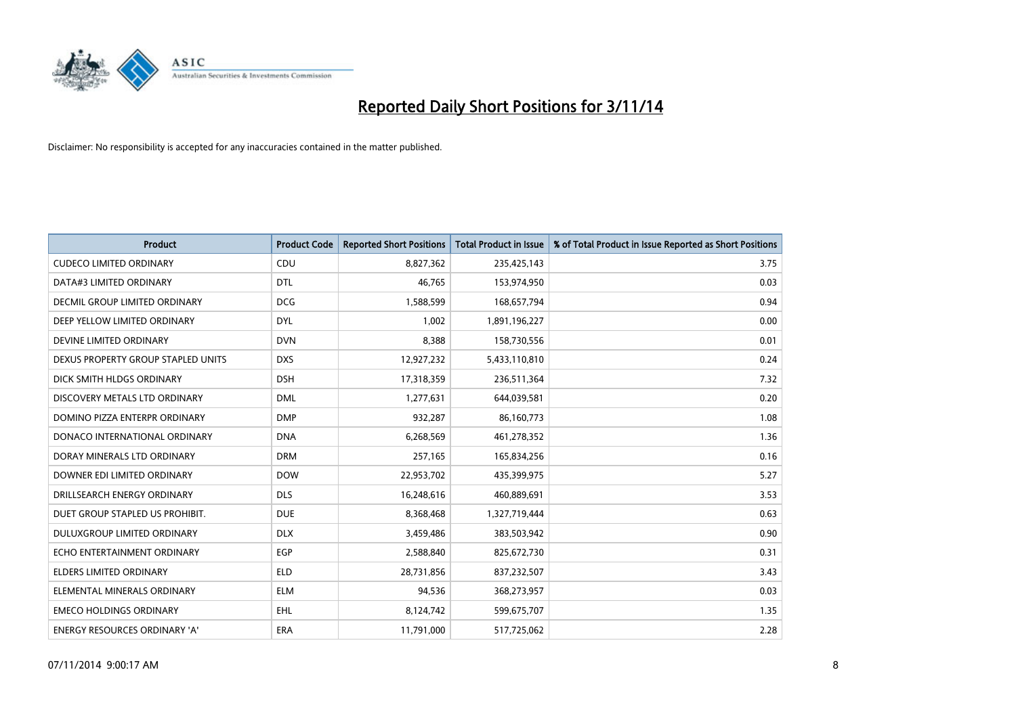

| <b>Product</b>                       | <b>Product Code</b> | <b>Reported Short Positions</b> | <b>Total Product in Issue</b> | % of Total Product in Issue Reported as Short Positions |
|--------------------------------------|---------------------|---------------------------------|-------------------------------|---------------------------------------------------------|
| <b>CUDECO LIMITED ORDINARY</b>       | CDU                 | 8,827,362                       | 235,425,143                   | 3.75                                                    |
| DATA#3 LIMITED ORDINARY              | <b>DTL</b>          | 46,765                          | 153,974,950                   | 0.03                                                    |
| <b>DECMIL GROUP LIMITED ORDINARY</b> | <b>DCG</b>          | 1,588,599                       | 168,657,794                   | 0.94                                                    |
| DEEP YELLOW LIMITED ORDINARY         | <b>DYL</b>          | 1,002                           | 1,891,196,227                 | 0.00                                                    |
| DEVINE LIMITED ORDINARY              | <b>DVN</b>          | 8,388                           | 158,730,556                   | 0.01                                                    |
| DEXUS PROPERTY GROUP STAPLED UNITS   | <b>DXS</b>          | 12,927,232                      | 5,433,110,810                 | 0.24                                                    |
| DICK SMITH HLDGS ORDINARY            | <b>DSH</b>          | 17,318,359                      | 236,511,364                   | 7.32                                                    |
| DISCOVERY METALS LTD ORDINARY        | <b>DML</b>          | 1,277,631                       | 644,039,581                   | 0.20                                                    |
| DOMINO PIZZA ENTERPR ORDINARY        | <b>DMP</b>          | 932,287                         | 86,160,773                    | 1.08                                                    |
| DONACO INTERNATIONAL ORDINARY        | <b>DNA</b>          | 6,268,569                       | 461,278,352                   | 1.36                                                    |
| DORAY MINERALS LTD ORDINARY          | <b>DRM</b>          | 257,165                         | 165,834,256                   | 0.16                                                    |
| DOWNER EDI LIMITED ORDINARY          | <b>DOW</b>          | 22,953,702                      | 435,399,975                   | 5.27                                                    |
| DRILLSEARCH ENERGY ORDINARY          | <b>DLS</b>          | 16,248,616                      | 460,889,691                   | 3.53                                                    |
| DUET GROUP STAPLED US PROHIBIT.      | <b>DUE</b>          | 8,368,468                       | 1,327,719,444                 | 0.63                                                    |
| DULUXGROUP LIMITED ORDINARY          | <b>DLX</b>          | 3,459,486                       | 383,503,942                   | 0.90                                                    |
| ECHO ENTERTAINMENT ORDINARY          | <b>EGP</b>          | 2,588,840                       | 825,672,730                   | 0.31                                                    |
| ELDERS LIMITED ORDINARY              | <b>ELD</b>          | 28,731,856                      | 837,232,507                   | 3.43                                                    |
| ELEMENTAL MINERALS ORDINARY          | ELM                 | 94,536                          | 368,273,957                   | 0.03                                                    |
| <b>EMECO HOLDINGS ORDINARY</b>       | <b>EHL</b>          | 8,124,742                       | 599,675,707                   | 1.35                                                    |
| ENERGY RESOURCES ORDINARY 'A'        | ERA                 | 11,791,000                      | 517,725,062                   | 2.28                                                    |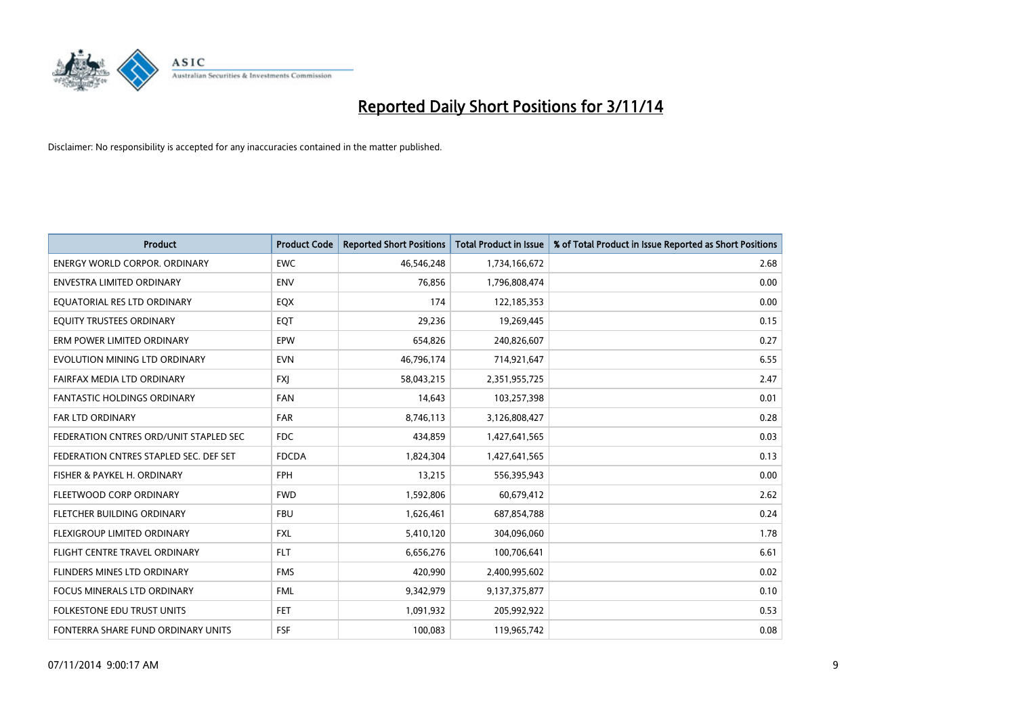

| <b>Product</b>                         | <b>Product Code</b> | <b>Reported Short Positions</b> | <b>Total Product in Issue</b> | % of Total Product in Issue Reported as Short Positions |
|----------------------------------------|---------------------|---------------------------------|-------------------------------|---------------------------------------------------------|
| <b>ENERGY WORLD CORPOR, ORDINARY</b>   | <b>EWC</b>          | 46,546,248                      | 1,734,166,672                 | 2.68                                                    |
| ENVESTRA LIMITED ORDINARY              | <b>ENV</b>          | 76,856                          | 1,796,808,474                 | 0.00                                                    |
| EQUATORIAL RES LTD ORDINARY            | EQX                 | 174                             | 122,185,353                   | 0.00                                                    |
| EQUITY TRUSTEES ORDINARY               | EQT                 | 29,236                          | 19,269,445                    | 0.15                                                    |
| ERM POWER LIMITED ORDINARY             | EPW                 | 654,826                         | 240,826,607                   | 0.27                                                    |
| EVOLUTION MINING LTD ORDINARY          | <b>EVN</b>          | 46,796,174                      | 714,921,647                   | 6.55                                                    |
| FAIRFAX MEDIA LTD ORDINARY             | <b>FXJ</b>          | 58,043,215                      | 2,351,955,725                 | 2.47                                                    |
| <b>FANTASTIC HOLDINGS ORDINARY</b>     | <b>FAN</b>          | 14,643                          | 103,257,398                   | 0.01                                                    |
| FAR LTD ORDINARY                       | FAR                 | 8,746,113                       | 3,126,808,427                 | 0.28                                                    |
| FEDERATION CNTRES ORD/UNIT STAPLED SEC | FDC                 | 434,859                         | 1,427,641,565                 | 0.03                                                    |
| FEDERATION CNTRES STAPLED SEC. DEF SET | <b>FDCDA</b>        | 1,824,304                       | 1,427,641,565                 | 0.13                                                    |
| FISHER & PAYKEL H. ORDINARY            | <b>FPH</b>          | 13,215                          | 556,395,943                   | 0.00                                                    |
| FLEETWOOD CORP ORDINARY                | <b>FWD</b>          | 1,592,806                       | 60,679,412                    | 2.62                                                    |
| FLETCHER BUILDING ORDINARY             | <b>FBU</b>          | 1,626,461                       | 687,854,788                   | 0.24                                                    |
| FLEXIGROUP LIMITED ORDINARY            | <b>FXL</b>          | 5,410,120                       | 304,096,060                   | 1.78                                                    |
| FLIGHT CENTRE TRAVEL ORDINARY          | <b>FLT</b>          | 6,656,276                       | 100,706,641                   | 6.61                                                    |
| FLINDERS MINES LTD ORDINARY            | <b>FMS</b>          | 420,990                         | 2,400,995,602                 | 0.02                                                    |
| FOCUS MINERALS LTD ORDINARY            | <b>FML</b>          | 9,342,979                       | 9,137,375,877                 | 0.10                                                    |
| <b>FOLKESTONE EDU TRUST UNITS</b>      | <b>FET</b>          | 1,091,932                       | 205,992,922                   | 0.53                                                    |
| FONTERRA SHARE FUND ORDINARY UNITS     | <b>FSF</b>          | 100,083                         | 119,965,742                   | 0.08                                                    |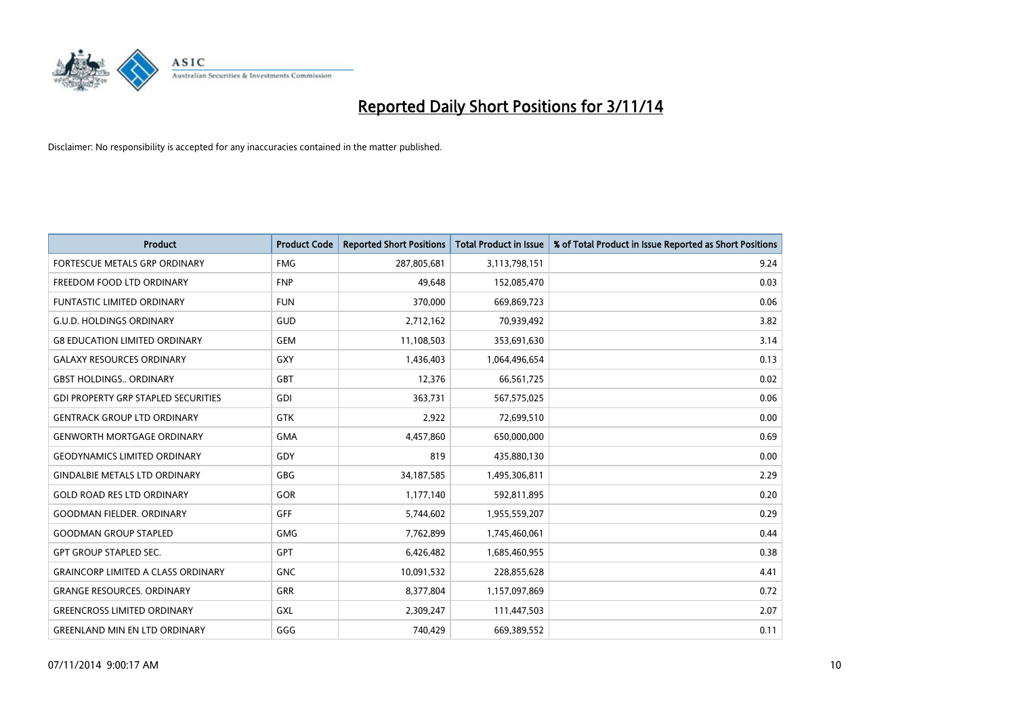

| <b>Product</b>                             | <b>Product Code</b> | <b>Reported Short Positions</b> | <b>Total Product in Issue</b> | % of Total Product in Issue Reported as Short Positions |
|--------------------------------------------|---------------------|---------------------------------|-------------------------------|---------------------------------------------------------|
| <b>FORTESCUE METALS GRP ORDINARY</b>       | <b>FMG</b>          | 287,805,681                     | 3,113,798,151                 | 9.24                                                    |
| FREEDOM FOOD LTD ORDINARY                  | <b>FNP</b>          | 49,648                          | 152,085,470                   | 0.03                                                    |
| <b>FUNTASTIC LIMITED ORDINARY</b>          | <b>FUN</b>          | 370,000                         | 669,869,723                   | 0.06                                                    |
| <b>G.U.D. HOLDINGS ORDINARY</b>            | GUD                 | 2,712,162                       | 70,939,492                    | 3.82                                                    |
| <b>G8 EDUCATION LIMITED ORDINARY</b>       | <b>GEM</b>          | 11,108,503                      | 353,691,630                   | 3.14                                                    |
| <b>GALAXY RESOURCES ORDINARY</b>           | GXY                 | 1,436,403                       | 1,064,496,654                 | 0.13                                                    |
| <b>GBST HOLDINGS ORDINARY</b>              | GBT                 | 12,376                          | 66,561,725                    | 0.02                                                    |
| <b>GDI PROPERTY GRP STAPLED SECURITIES</b> | GDI                 | 363,731                         | 567,575,025                   | 0.06                                                    |
| <b>GENTRACK GROUP LTD ORDINARY</b>         | <b>GTK</b>          | 2,922                           | 72,699,510                    | 0.00                                                    |
| <b>GENWORTH MORTGAGE ORDINARY</b>          | <b>GMA</b>          | 4,457,860                       | 650,000,000                   | 0.69                                                    |
| <b>GEODYNAMICS LIMITED ORDINARY</b>        | GDY                 | 819                             | 435,880,130                   | 0.00                                                    |
| <b>GINDALBIE METALS LTD ORDINARY</b>       | GBG                 | 34,187,585                      | 1,495,306,811                 | 2.29                                                    |
| <b>GOLD ROAD RES LTD ORDINARY</b>          | GOR                 | 1,177,140                       | 592,811,895                   | 0.20                                                    |
| <b>GOODMAN FIELDER, ORDINARY</b>           | <b>GFF</b>          | 5,744,602                       | 1,955,559,207                 | 0.29                                                    |
| <b>GOODMAN GROUP STAPLED</b>               | <b>GMG</b>          | 7,762,899                       | 1,745,460,061                 | 0.44                                                    |
| <b>GPT GROUP STAPLED SEC.</b>              | GPT                 | 6,426,482                       | 1,685,460,955                 | 0.38                                                    |
| <b>GRAINCORP LIMITED A CLASS ORDINARY</b>  | <b>GNC</b>          | 10,091,532                      | 228,855,628                   | 4.41                                                    |
| <b>GRANGE RESOURCES, ORDINARY</b>          | GRR                 | 8,377,804                       | 1,157,097,869                 | 0.72                                                    |
| <b>GREENCROSS LIMITED ORDINARY</b>         | GXL                 | 2,309,247                       | 111,447,503                   | 2.07                                                    |
| <b>GREENLAND MIN EN LTD ORDINARY</b>       | GGG                 | 740,429                         | 669,389,552                   | 0.11                                                    |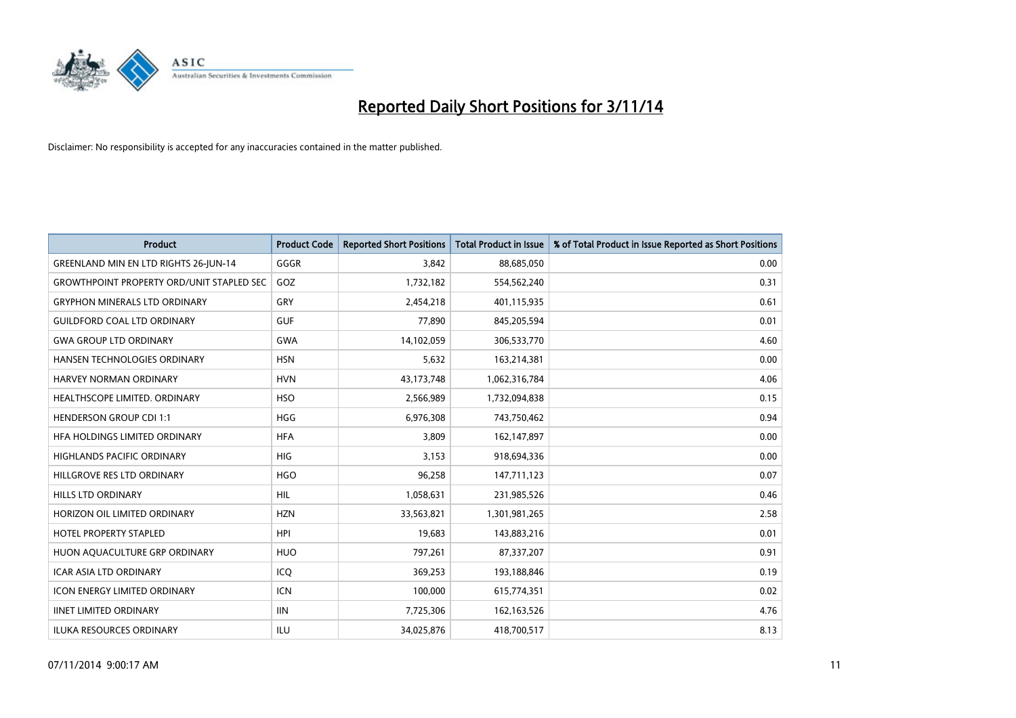

| <b>Product</b>                                   | <b>Product Code</b> | <b>Reported Short Positions</b> | <b>Total Product in Issue</b> | % of Total Product in Issue Reported as Short Positions |
|--------------------------------------------------|---------------------|---------------------------------|-------------------------------|---------------------------------------------------------|
| GREENLAND MIN EN LTD RIGHTS 26-JUN-14            | GGGR                | 3,842                           | 88,685,050                    | 0.00                                                    |
| <b>GROWTHPOINT PROPERTY ORD/UNIT STAPLED SEC</b> | GOZ                 | 1,732,182                       | 554,562,240                   | 0.31                                                    |
| <b>GRYPHON MINERALS LTD ORDINARY</b>             | GRY                 | 2,454,218                       | 401,115,935                   | 0.61                                                    |
| <b>GUILDFORD COAL LTD ORDINARY</b>               | <b>GUF</b>          | 77,890                          | 845,205,594                   | 0.01                                                    |
| <b>GWA GROUP LTD ORDINARY</b>                    | <b>GWA</b>          | 14,102,059                      | 306,533,770                   | 4.60                                                    |
| <b>HANSEN TECHNOLOGIES ORDINARY</b>              | <b>HSN</b>          | 5,632                           | 163,214,381                   | 0.00                                                    |
| HARVEY NORMAN ORDINARY                           | <b>HVN</b>          | 43,173,748                      | 1,062,316,784                 | 4.06                                                    |
| HEALTHSCOPE LIMITED. ORDINARY                    | <b>HSO</b>          | 2,566,989                       | 1,732,094,838                 | 0.15                                                    |
| <b>HENDERSON GROUP CDI 1:1</b>                   | <b>HGG</b>          | 6,976,308                       | 743,750,462                   | 0.94                                                    |
| HEA HOLDINGS LIMITED ORDINARY                    | <b>HFA</b>          | 3,809                           | 162,147,897                   | 0.00                                                    |
| HIGHLANDS PACIFIC ORDINARY                       | <b>HIG</b>          | 3,153                           | 918,694,336                   | 0.00                                                    |
| HILLGROVE RES LTD ORDINARY                       | <b>HGO</b>          | 96,258                          | 147,711,123                   | 0.07                                                    |
| <b>HILLS LTD ORDINARY</b>                        | <b>HIL</b>          | 1,058,631                       | 231,985,526                   | 0.46                                                    |
| HORIZON OIL LIMITED ORDINARY                     | <b>HZN</b>          | 33,563,821                      | 1,301,981,265                 | 2.58                                                    |
| <b>HOTEL PROPERTY STAPLED</b>                    | <b>HPI</b>          | 19,683                          | 143,883,216                   | 0.01                                                    |
| HUON AQUACULTURE GRP ORDINARY                    | <b>HUO</b>          | 797,261                         | 87,337,207                    | 0.91                                                    |
| <b>ICAR ASIA LTD ORDINARY</b>                    | ICQ                 | 369,253                         | 193,188,846                   | 0.19                                                    |
| <b>ICON ENERGY LIMITED ORDINARY</b>              | <b>ICN</b>          | 100,000                         | 615,774,351                   | 0.02                                                    |
| <b>IINET LIMITED ORDINARY</b>                    | <b>IIN</b>          | 7,725,306                       | 162, 163, 526                 | 4.76                                                    |
| <b>ILUKA RESOURCES ORDINARY</b>                  | ILU                 | 34,025,876                      | 418,700,517                   | 8.13                                                    |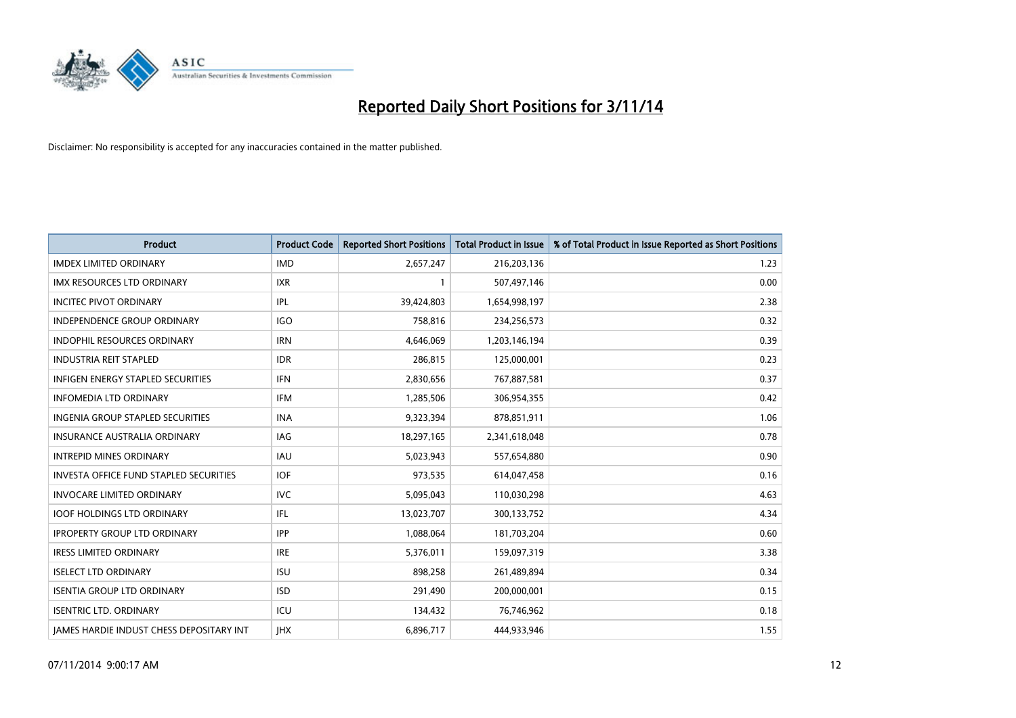

| <b>Product</b>                                  | <b>Product Code</b> | <b>Reported Short Positions</b> | <b>Total Product in Issue</b> | % of Total Product in Issue Reported as Short Positions |
|-------------------------------------------------|---------------------|---------------------------------|-------------------------------|---------------------------------------------------------|
| <b>IMDEX LIMITED ORDINARY</b>                   | <b>IMD</b>          | 2,657,247                       | 216,203,136                   | 1.23                                                    |
| <b>IMX RESOURCES LTD ORDINARY</b>               | IXR                 | $\mathbf{1}$                    | 507,497,146                   | 0.00                                                    |
| <b>INCITEC PIVOT ORDINARY</b>                   | IPL                 | 39,424,803                      | 1,654,998,197                 | 2.38                                                    |
| INDEPENDENCE GROUP ORDINARY                     | <b>IGO</b>          | 758,816                         | 234,256,573                   | 0.32                                                    |
| <b>INDOPHIL RESOURCES ORDINARY</b>              | <b>IRN</b>          | 4,646,069                       | 1,203,146,194                 | 0.39                                                    |
| <b>INDUSTRIA REIT STAPLED</b>                   | <b>IDR</b>          | 286,815                         | 125,000,001                   | 0.23                                                    |
| <b>INFIGEN ENERGY STAPLED SECURITIES</b>        | <b>IFN</b>          | 2,830,656                       | 767,887,581                   | 0.37                                                    |
| <b>INFOMEDIA LTD ORDINARY</b>                   | <b>IFM</b>          | 1,285,506                       | 306,954,355                   | 0.42                                                    |
| INGENIA GROUP STAPLED SECURITIES                | <b>INA</b>          | 9,323,394                       | 878,851,911                   | 1.06                                                    |
| <b>INSURANCE AUSTRALIA ORDINARY</b>             | <b>IAG</b>          | 18,297,165                      | 2,341,618,048                 | 0.78                                                    |
| <b>INTREPID MINES ORDINARY</b>                  | <b>IAU</b>          | 5,023,943                       | 557,654,880                   | 0.90                                                    |
| <b>INVESTA OFFICE FUND STAPLED SECURITIES</b>   | <b>IOF</b>          | 973,535                         | 614,047,458                   | 0.16                                                    |
| <b>INVOCARE LIMITED ORDINARY</b>                | <b>IVC</b>          | 5,095,043                       | 110,030,298                   | 4.63                                                    |
| <b>IOOF HOLDINGS LTD ORDINARY</b>               | IFL                 | 13,023,707                      | 300,133,752                   | 4.34                                                    |
| <b>IPROPERTY GROUP LTD ORDINARY</b>             | <b>IPP</b>          | 1,088,064                       | 181,703,204                   | 0.60                                                    |
| <b>IRESS LIMITED ORDINARY</b>                   | <b>IRE</b>          | 5,376,011                       | 159,097,319                   | 3.38                                                    |
| <b>ISELECT LTD ORDINARY</b>                     | <b>ISU</b>          | 898,258                         | 261,489,894                   | 0.34                                                    |
| <b>ISENTIA GROUP LTD ORDINARY</b>               | <b>ISD</b>          | 291,490                         | 200,000,001                   | 0.15                                                    |
| <b>ISENTRIC LTD. ORDINARY</b>                   | ICU                 | 134,432                         | 76,746,962                    | 0.18                                                    |
| <b>JAMES HARDIE INDUST CHESS DEPOSITARY INT</b> | <b>IHX</b>          | 6,896,717                       | 444,933,946                   | 1.55                                                    |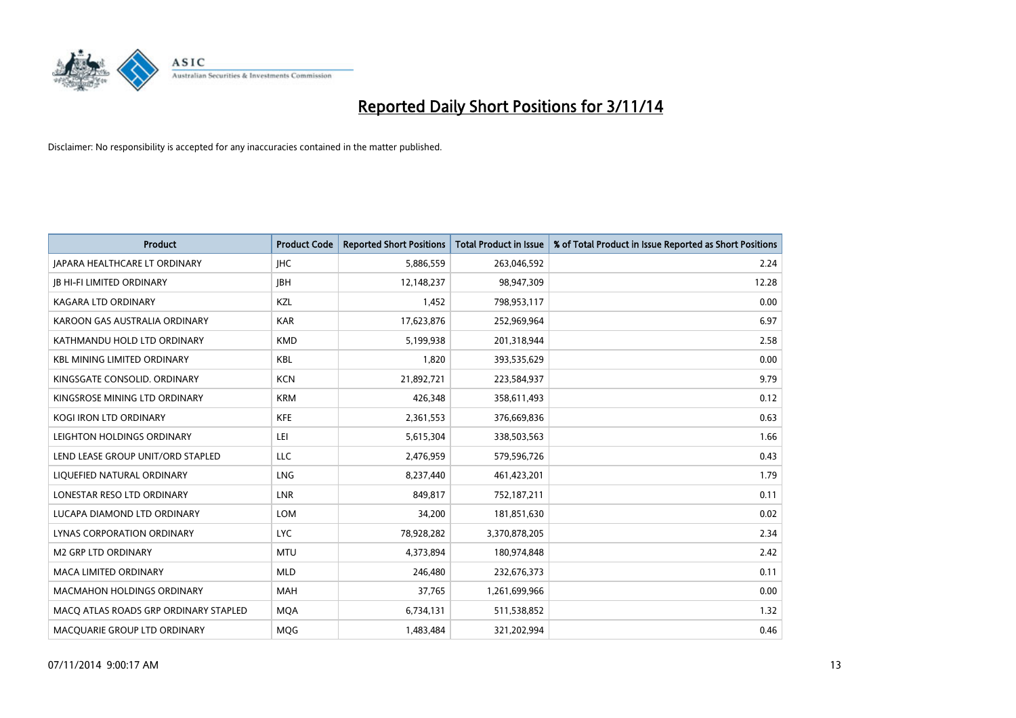

| <b>Product</b>                        | <b>Product Code</b> | <b>Reported Short Positions</b> | <b>Total Product in Issue</b> | % of Total Product in Issue Reported as Short Positions |
|---------------------------------------|---------------------|---------------------------------|-------------------------------|---------------------------------------------------------|
| <b>JAPARA HEALTHCARE LT ORDINARY</b>  | <b>IHC</b>          | 5,886,559                       | 263,046,592                   | 2.24                                                    |
| <b>JB HI-FI LIMITED ORDINARY</b>      | <b>IBH</b>          | 12,148,237                      | 98,947,309                    | 12.28                                                   |
| <b>KAGARA LTD ORDINARY</b>            | KZL                 | 1,452                           | 798,953,117                   | 0.00                                                    |
| KAROON GAS AUSTRALIA ORDINARY         | <b>KAR</b>          | 17,623,876                      | 252,969,964                   | 6.97                                                    |
| KATHMANDU HOLD LTD ORDINARY           | <b>KMD</b>          | 5,199,938                       | 201,318,944                   | 2.58                                                    |
| <b>KBL MINING LIMITED ORDINARY</b>    | <b>KBL</b>          | 1,820                           | 393,535,629                   | 0.00                                                    |
| KINGSGATE CONSOLID. ORDINARY          | <b>KCN</b>          | 21,892,721                      | 223,584,937                   | 9.79                                                    |
| KINGSROSE MINING LTD ORDINARY         | <b>KRM</b>          | 426,348                         | 358,611,493                   | 0.12                                                    |
| KOGI IRON LTD ORDINARY                | <b>KFE</b>          | 2,361,553                       | 376,669,836                   | 0.63                                                    |
| LEIGHTON HOLDINGS ORDINARY            | LEI                 | 5,615,304                       | 338,503,563                   | 1.66                                                    |
| LEND LEASE GROUP UNIT/ORD STAPLED     | LLC                 | 2,476,959                       | 579,596,726                   | 0.43                                                    |
| LIQUEFIED NATURAL ORDINARY            | <b>LNG</b>          | 8,237,440                       | 461,423,201                   | 1.79                                                    |
| LONESTAR RESO LTD ORDINARY            | <b>LNR</b>          | 849.817                         | 752,187,211                   | 0.11                                                    |
| LUCAPA DIAMOND LTD ORDINARY           | <b>LOM</b>          | 34,200                          | 181,851,630                   | 0.02                                                    |
| LYNAS CORPORATION ORDINARY            | <b>LYC</b>          | 78,928,282                      | 3,370,878,205                 | 2.34                                                    |
| <b>M2 GRP LTD ORDINARY</b>            | <b>MTU</b>          | 4,373,894                       | 180,974,848                   | 2.42                                                    |
| <b>MACA LIMITED ORDINARY</b>          | <b>MLD</b>          | 246,480                         | 232,676,373                   | 0.11                                                    |
| MACMAHON HOLDINGS ORDINARY            | <b>MAH</b>          | 37,765                          | 1,261,699,966                 | 0.00                                                    |
| MACO ATLAS ROADS GRP ORDINARY STAPLED | <b>MOA</b>          | 6,734,131                       | 511,538,852                   | 1.32                                                    |
| MACQUARIE GROUP LTD ORDINARY          | <b>MOG</b>          | 1,483,484                       | 321,202,994                   | 0.46                                                    |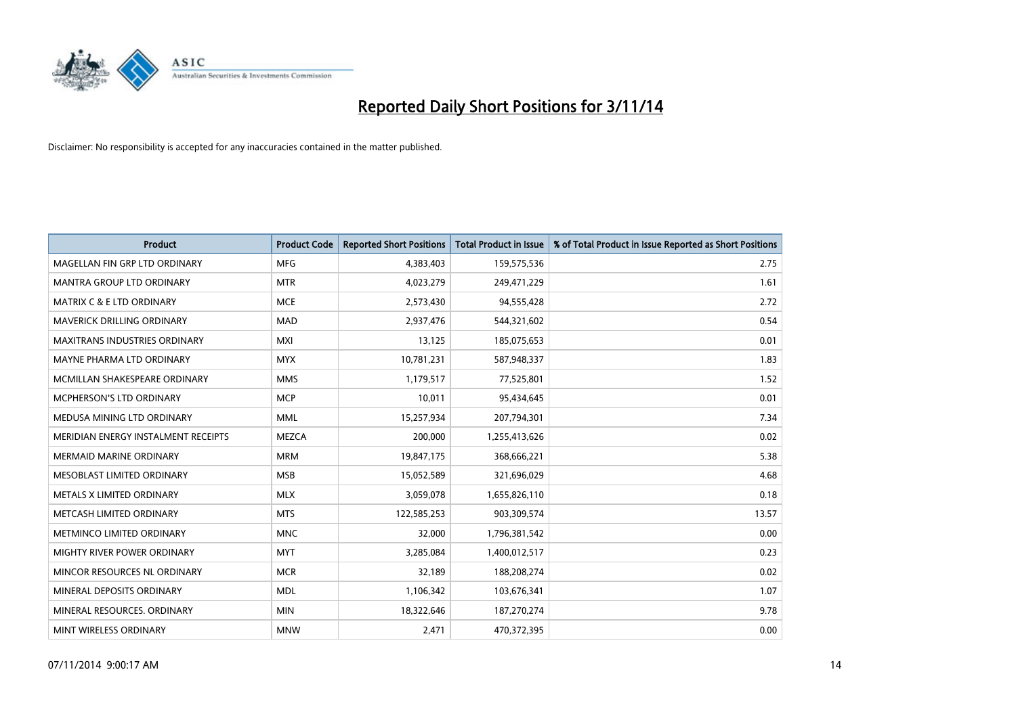

| <b>Product</b>                       | <b>Product Code</b> | <b>Reported Short Positions</b> | <b>Total Product in Issue</b> | % of Total Product in Issue Reported as Short Positions |
|--------------------------------------|---------------------|---------------------------------|-------------------------------|---------------------------------------------------------|
| MAGELLAN FIN GRP LTD ORDINARY        | <b>MFG</b>          | 4,383,403                       | 159,575,536                   | 2.75                                                    |
| MANTRA GROUP LTD ORDINARY            | <b>MTR</b>          | 4,023,279                       | 249,471,229                   | 1.61                                                    |
| MATRIX C & E LTD ORDINARY            | <b>MCE</b>          | 2,573,430                       | 94,555,428                    | 2.72                                                    |
| MAVERICK DRILLING ORDINARY           | <b>MAD</b>          | 2,937,476                       | 544,321,602                   | 0.54                                                    |
| <b>MAXITRANS INDUSTRIES ORDINARY</b> | <b>MXI</b>          | 13,125                          | 185,075,653                   | 0.01                                                    |
| MAYNE PHARMA LTD ORDINARY            | <b>MYX</b>          | 10,781,231                      | 587,948,337                   | 1.83                                                    |
| MCMILLAN SHAKESPEARE ORDINARY        | <b>MMS</b>          | 1,179,517                       | 77,525,801                    | 1.52                                                    |
| MCPHERSON'S LTD ORDINARY             | <b>MCP</b>          | 10,011                          | 95,434,645                    | 0.01                                                    |
| MEDUSA MINING LTD ORDINARY           | <b>MML</b>          | 15,257,934                      | 207,794,301                   | 7.34                                                    |
| MERIDIAN ENERGY INSTALMENT RECEIPTS  | <b>MEZCA</b>        | 200,000                         | 1,255,413,626                 | 0.02                                                    |
| <b>MERMAID MARINE ORDINARY</b>       | <b>MRM</b>          | 19,847,175                      | 368,666,221                   | 5.38                                                    |
| MESOBLAST LIMITED ORDINARY           | <b>MSB</b>          | 15,052,589                      | 321,696,029                   | 4.68                                                    |
| METALS X LIMITED ORDINARY            | <b>MLX</b>          | 3,059,078                       | 1,655,826,110                 | 0.18                                                    |
| METCASH LIMITED ORDINARY             | <b>MTS</b>          | 122,585,253                     | 903,309,574                   | 13.57                                                   |
| METMINCO LIMITED ORDINARY            | <b>MNC</b>          | 32,000                          | 1,796,381,542                 | 0.00                                                    |
| MIGHTY RIVER POWER ORDINARY          | <b>MYT</b>          | 3,285,084                       | 1,400,012,517                 | 0.23                                                    |
| MINCOR RESOURCES NL ORDINARY         | <b>MCR</b>          | 32,189                          | 188,208,274                   | 0.02                                                    |
| MINERAL DEPOSITS ORDINARY            | <b>MDL</b>          | 1,106,342                       | 103,676,341                   | 1.07                                                    |
| MINERAL RESOURCES, ORDINARY          | <b>MIN</b>          | 18,322,646                      | 187,270,274                   | 9.78                                                    |
| MINT WIRELESS ORDINARY               | <b>MNW</b>          | 2,471                           | 470,372,395                   | 0.00                                                    |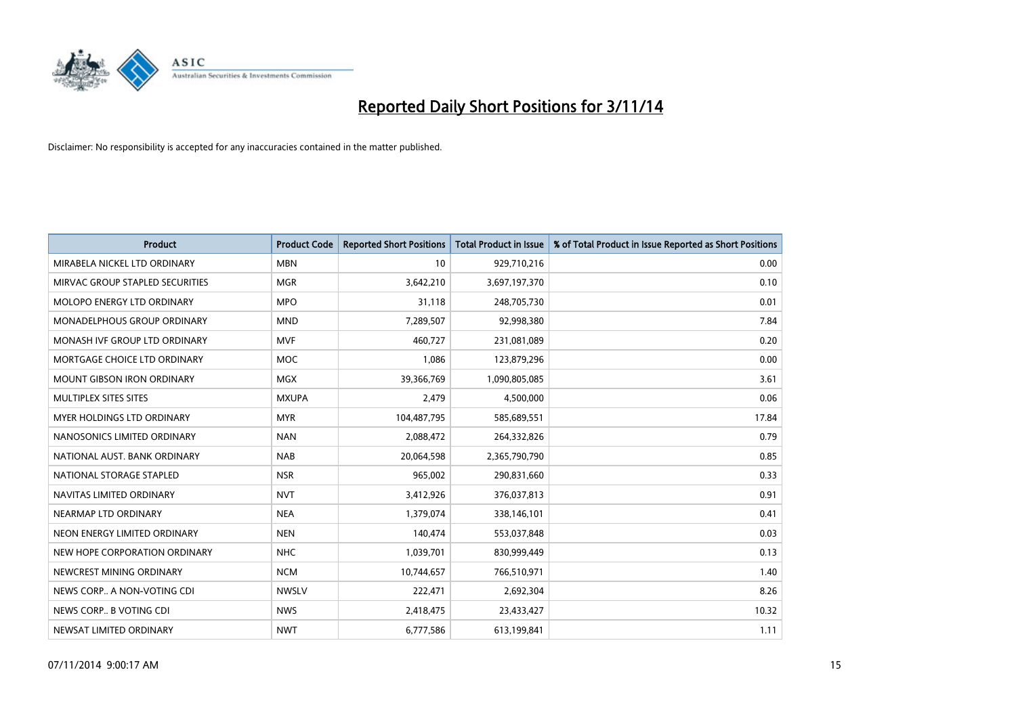

| <b>Product</b>                    | <b>Product Code</b> | <b>Reported Short Positions</b> | <b>Total Product in Issue</b> | % of Total Product in Issue Reported as Short Positions |
|-----------------------------------|---------------------|---------------------------------|-------------------------------|---------------------------------------------------------|
| MIRABELA NICKEL LTD ORDINARY      | <b>MBN</b>          | 10                              | 929,710,216                   | 0.00                                                    |
| MIRVAC GROUP STAPLED SECURITIES   | <b>MGR</b>          | 3,642,210                       | 3,697,197,370                 | 0.10                                                    |
| MOLOPO ENERGY LTD ORDINARY        | <b>MPO</b>          | 31,118                          | 248,705,730                   | 0.01                                                    |
| MONADELPHOUS GROUP ORDINARY       | <b>MND</b>          | 7,289,507                       | 92,998,380                    | 7.84                                                    |
| MONASH IVF GROUP LTD ORDINARY     | MVF                 | 460,727                         | 231,081,089                   | 0.20                                                    |
| MORTGAGE CHOICE LTD ORDINARY      | MOC                 | 1,086                           | 123,879,296                   | 0.00                                                    |
| <b>MOUNT GIBSON IRON ORDINARY</b> | <b>MGX</b>          | 39,366,769                      | 1,090,805,085                 | 3.61                                                    |
| MULTIPLEX SITES SITES             | <b>MXUPA</b>        | 2,479                           | 4,500,000                     | 0.06                                                    |
| <b>MYER HOLDINGS LTD ORDINARY</b> | <b>MYR</b>          | 104,487,795                     | 585,689,551                   | 17.84                                                   |
| NANOSONICS LIMITED ORDINARY       | <b>NAN</b>          | 2,088,472                       | 264,332,826                   | 0.79                                                    |
| NATIONAL AUST, BANK ORDINARY      | <b>NAB</b>          | 20,064,598                      | 2,365,790,790                 | 0.85                                                    |
| NATIONAL STORAGE STAPLED          | <b>NSR</b>          | 965,002                         | 290,831,660                   | 0.33                                                    |
| NAVITAS LIMITED ORDINARY          | <b>NVT</b>          | 3,412,926                       | 376,037,813                   | 0.91                                                    |
| NEARMAP LTD ORDINARY              | <b>NEA</b>          | 1,379,074                       | 338,146,101                   | 0.41                                                    |
| NEON ENERGY LIMITED ORDINARY      | <b>NEN</b>          | 140,474                         | 553,037,848                   | 0.03                                                    |
| NEW HOPE CORPORATION ORDINARY     | NHC                 | 1,039,701                       | 830,999,449                   | 0.13                                                    |
| NEWCREST MINING ORDINARY          | <b>NCM</b>          | 10,744,657                      | 766,510,971                   | 1.40                                                    |
| NEWS CORP A NON-VOTING CDI        | <b>NWSLV</b>        | 222,471                         | 2,692,304                     | 8.26                                                    |
| NEWS CORP B VOTING CDI            | <b>NWS</b>          | 2,418,475                       | 23,433,427                    | 10.32                                                   |
| NEWSAT LIMITED ORDINARY           | <b>NWT</b>          | 6,777,586                       | 613,199,841                   | 1.11                                                    |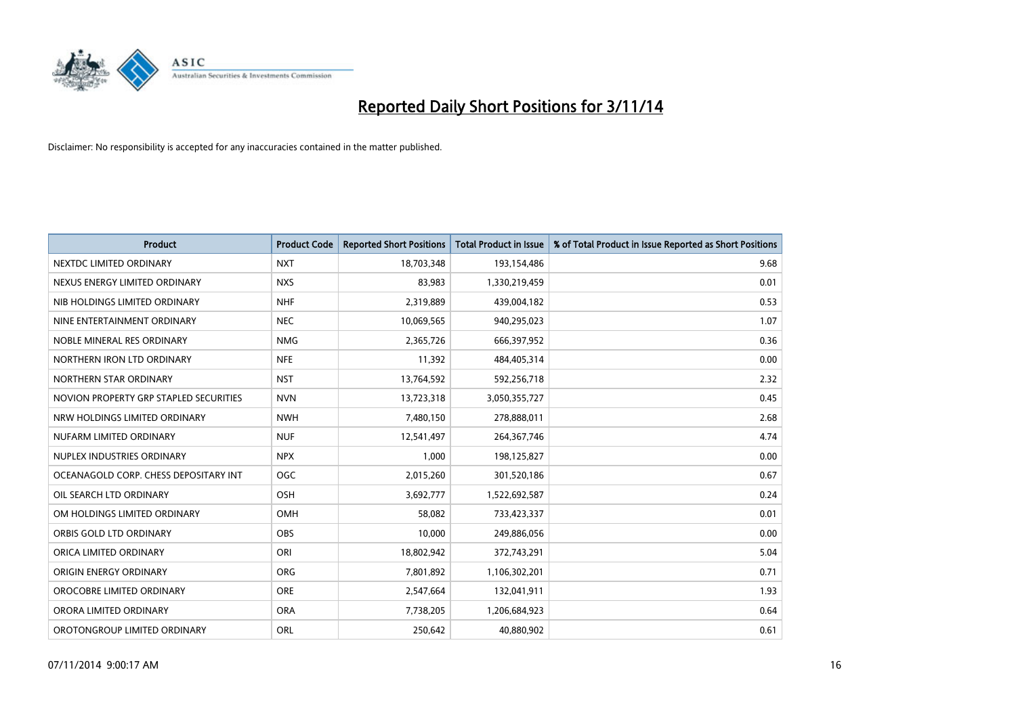

| <b>Product</b>                         | <b>Product Code</b> | <b>Reported Short Positions</b> | <b>Total Product in Issue</b> | % of Total Product in Issue Reported as Short Positions |
|----------------------------------------|---------------------|---------------------------------|-------------------------------|---------------------------------------------------------|
| NEXTDC LIMITED ORDINARY                | <b>NXT</b>          | 18,703,348                      | 193,154,486                   | 9.68                                                    |
| NEXUS ENERGY LIMITED ORDINARY          | <b>NXS</b>          | 83,983                          | 1,330,219,459                 | 0.01                                                    |
| NIB HOLDINGS LIMITED ORDINARY          | <b>NHF</b>          | 2,319,889                       | 439,004,182                   | 0.53                                                    |
| NINE ENTERTAINMENT ORDINARY            | <b>NEC</b>          | 10,069,565                      | 940,295,023                   | 1.07                                                    |
| NOBLE MINERAL RES ORDINARY             | <b>NMG</b>          | 2,365,726                       | 666,397,952                   | 0.36                                                    |
| NORTHERN IRON LTD ORDINARY             | <b>NFE</b>          | 11,392                          | 484,405,314                   | 0.00                                                    |
| NORTHERN STAR ORDINARY                 | <b>NST</b>          | 13,764,592                      | 592,256,718                   | 2.32                                                    |
| NOVION PROPERTY GRP STAPLED SECURITIES | <b>NVN</b>          | 13,723,318                      | 3,050,355,727                 | 0.45                                                    |
| NRW HOLDINGS LIMITED ORDINARY          | <b>NWH</b>          | 7,480,150                       | 278,888,011                   | 2.68                                                    |
| NUFARM LIMITED ORDINARY                | <b>NUF</b>          | 12,541,497                      | 264,367,746                   | 4.74                                                    |
| NUPLEX INDUSTRIES ORDINARY             | <b>NPX</b>          | 1,000                           | 198,125,827                   | 0.00                                                    |
| OCEANAGOLD CORP. CHESS DEPOSITARY INT  | <b>OGC</b>          | 2,015,260                       | 301,520,186                   | 0.67                                                    |
| OIL SEARCH LTD ORDINARY                | OSH                 | 3,692,777                       | 1,522,692,587                 | 0.24                                                    |
| OM HOLDINGS LIMITED ORDINARY           | OMH                 | 58,082                          | 733,423,337                   | 0.01                                                    |
| ORBIS GOLD LTD ORDINARY                | <b>OBS</b>          | 10,000                          | 249,886,056                   | 0.00                                                    |
| ORICA LIMITED ORDINARY                 | ORI                 | 18,802,942                      | 372,743,291                   | 5.04                                                    |
| ORIGIN ENERGY ORDINARY                 | <b>ORG</b>          | 7,801,892                       | 1,106,302,201                 | 0.71                                                    |
| OROCOBRE LIMITED ORDINARY              | <b>ORE</b>          | 2,547,664                       | 132,041,911                   | 1.93                                                    |
| ORORA LIMITED ORDINARY                 | <b>ORA</b>          | 7,738,205                       | 1,206,684,923                 | 0.64                                                    |
| OROTONGROUP LIMITED ORDINARY           | <b>ORL</b>          | 250,642                         | 40,880,902                    | 0.61                                                    |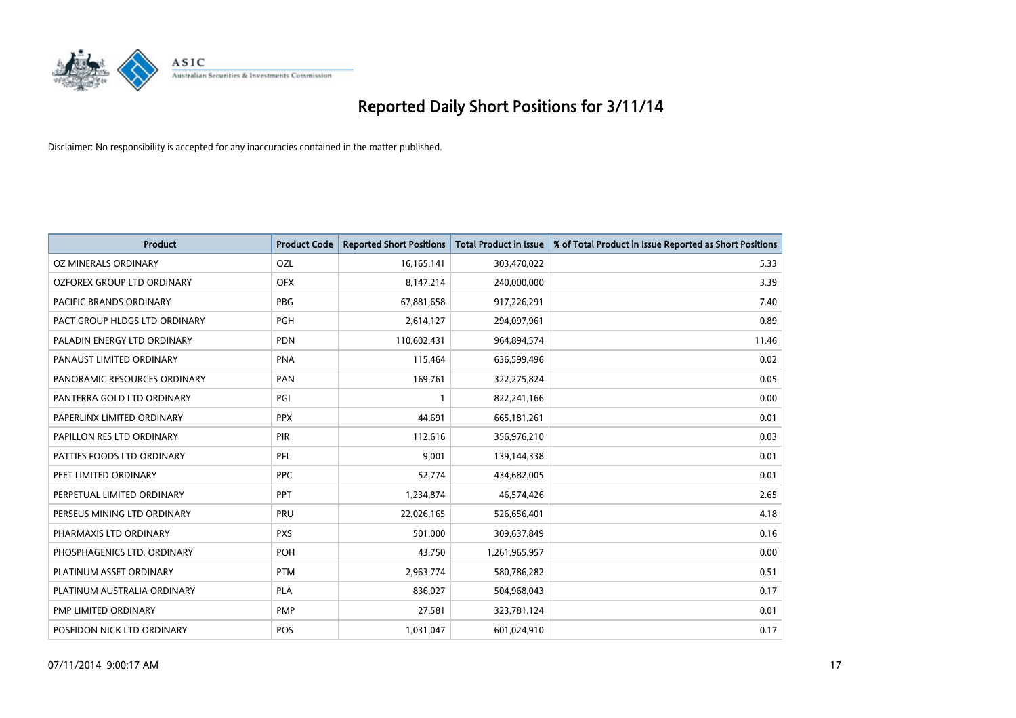

| <b>Product</b>                    | <b>Product Code</b> | <b>Reported Short Positions</b> | <b>Total Product in Issue</b> | % of Total Product in Issue Reported as Short Positions |
|-----------------------------------|---------------------|---------------------------------|-------------------------------|---------------------------------------------------------|
| <b>OZ MINERALS ORDINARY</b>       | OZL                 | 16, 165, 141                    | 303,470,022                   | 5.33                                                    |
| <b>OZFOREX GROUP LTD ORDINARY</b> | <b>OFX</b>          | 8,147,214                       | 240,000,000                   | 3.39                                                    |
| PACIFIC BRANDS ORDINARY           | <b>PBG</b>          | 67,881,658                      | 917,226,291                   | 7.40                                                    |
| PACT GROUP HLDGS LTD ORDINARY     | <b>PGH</b>          | 2,614,127                       | 294,097,961                   | 0.89                                                    |
| PALADIN ENERGY LTD ORDINARY       | <b>PDN</b>          | 110,602,431                     | 964,894,574                   | 11.46                                                   |
| PANAUST LIMITED ORDINARY          | <b>PNA</b>          | 115,464                         | 636,599,496                   | 0.02                                                    |
| PANORAMIC RESOURCES ORDINARY      | PAN                 | 169,761                         | 322,275,824                   | 0.05                                                    |
| PANTERRA GOLD LTD ORDINARY        | PGI                 | $\mathbf{1}$                    | 822,241,166                   | 0.00                                                    |
| PAPERLINX LIMITED ORDINARY        | <b>PPX</b>          | 44,691                          | 665, 181, 261                 | 0.01                                                    |
| PAPILLON RES LTD ORDINARY         | <b>PIR</b>          | 112,616                         | 356,976,210                   | 0.03                                                    |
| PATTIES FOODS LTD ORDINARY        | <b>PFL</b>          | 9,001                           | 139,144,338                   | 0.01                                                    |
| PEET LIMITED ORDINARY             | <b>PPC</b>          | 52,774                          | 434,682,005                   | 0.01                                                    |
| PERPETUAL LIMITED ORDINARY        | <b>PPT</b>          | 1,234,874                       | 46,574,426                    | 2.65                                                    |
| PERSEUS MINING LTD ORDINARY       | PRU                 | 22,026,165                      | 526,656,401                   | 4.18                                                    |
| PHARMAXIS LTD ORDINARY            | <b>PXS</b>          | 501,000                         | 309,637,849                   | 0.16                                                    |
| PHOSPHAGENICS LTD. ORDINARY       | POH                 | 43,750                          | 1,261,965,957                 | 0.00                                                    |
| PLATINUM ASSET ORDINARY           | <b>PTM</b>          | 2,963,774                       | 580,786,282                   | 0.51                                                    |
| PLATINUM AUSTRALIA ORDINARY       | <b>PLA</b>          | 836,027                         | 504,968,043                   | 0.17                                                    |
| PMP LIMITED ORDINARY              | <b>PMP</b>          | 27,581                          | 323,781,124                   | 0.01                                                    |
| POSEIDON NICK LTD ORDINARY        | <b>POS</b>          | 1,031,047                       | 601,024,910                   | 0.17                                                    |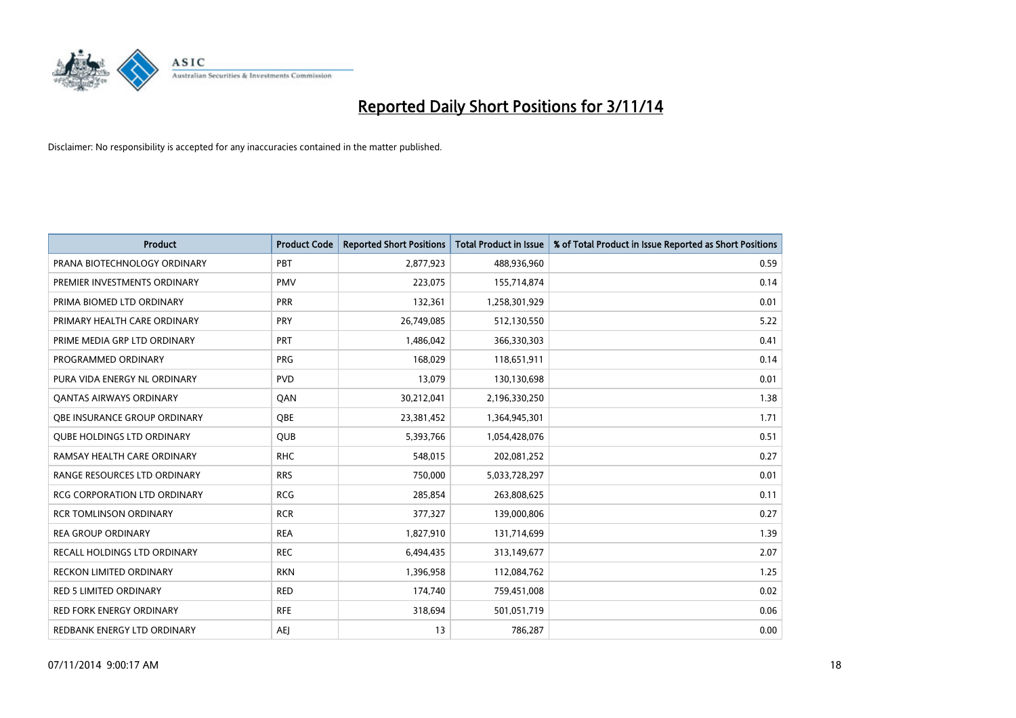

| <b>Product</b>                      | <b>Product Code</b> | <b>Reported Short Positions</b> | <b>Total Product in Issue</b> | % of Total Product in Issue Reported as Short Positions |
|-------------------------------------|---------------------|---------------------------------|-------------------------------|---------------------------------------------------------|
| PRANA BIOTECHNOLOGY ORDINARY        | PBT                 | 2,877,923                       | 488,936,960                   | 0.59                                                    |
| PREMIER INVESTMENTS ORDINARY        | <b>PMV</b>          | 223,075                         | 155,714,874                   | 0.14                                                    |
| PRIMA BIOMED LTD ORDINARY           | <b>PRR</b>          | 132,361                         | 1,258,301,929                 | 0.01                                                    |
| PRIMARY HEALTH CARE ORDINARY        | <b>PRY</b>          | 26,749,085                      | 512,130,550                   | 5.22                                                    |
| PRIME MEDIA GRP LTD ORDINARY        | <b>PRT</b>          | 1,486,042                       | 366,330,303                   | 0.41                                                    |
| PROGRAMMED ORDINARY                 | <b>PRG</b>          | 168,029                         | 118,651,911                   | 0.14                                                    |
| PURA VIDA ENERGY NL ORDINARY        | <b>PVD</b>          | 13,079                          | 130,130,698                   | 0.01                                                    |
| <b>QANTAS AIRWAYS ORDINARY</b>      | QAN                 | 30,212,041                      | 2,196,330,250                 | 1.38                                                    |
| OBE INSURANCE GROUP ORDINARY        | <b>OBE</b>          | 23,381,452                      | 1,364,945,301                 | 1.71                                                    |
| <b>QUBE HOLDINGS LTD ORDINARY</b>   | QUB                 | 5,393,766                       | 1,054,428,076                 | 0.51                                                    |
| RAMSAY HEALTH CARE ORDINARY         | <b>RHC</b>          | 548,015                         | 202,081,252                   | 0.27                                                    |
| RANGE RESOURCES LTD ORDINARY        | <b>RRS</b>          | 750,000                         | 5,033,728,297                 | 0.01                                                    |
| <b>RCG CORPORATION LTD ORDINARY</b> | <b>RCG</b>          | 285,854                         | 263,808,625                   | 0.11                                                    |
| <b>RCR TOMLINSON ORDINARY</b>       | <b>RCR</b>          | 377,327                         | 139,000,806                   | 0.27                                                    |
| <b>REA GROUP ORDINARY</b>           | <b>REA</b>          | 1,827,910                       | 131,714,699                   | 1.39                                                    |
| <b>RECALL HOLDINGS LTD ORDINARY</b> | <b>REC</b>          | 6,494,435                       | 313,149,677                   | 2.07                                                    |
| RECKON LIMITED ORDINARY             | <b>RKN</b>          | 1,396,958                       | 112,084,762                   | 1.25                                                    |
| <b>RED 5 LIMITED ORDINARY</b>       | <b>RED</b>          | 174,740                         | 759,451,008                   | 0.02                                                    |
| <b>RED FORK ENERGY ORDINARY</b>     | <b>RFE</b>          | 318,694                         | 501,051,719                   | 0.06                                                    |
| REDBANK ENERGY LTD ORDINARY         | AEJ                 | 13                              | 786,287                       | 0.00                                                    |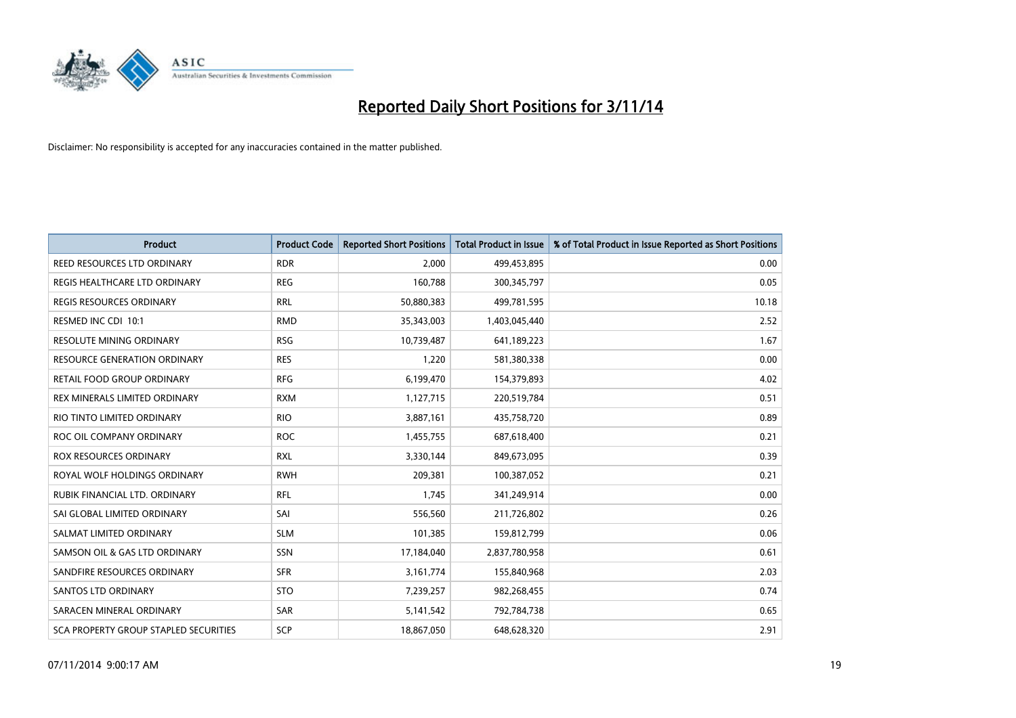

| <b>Product</b>                        | <b>Product Code</b> | <b>Reported Short Positions</b> | <b>Total Product in Issue</b> | % of Total Product in Issue Reported as Short Positions |
|---------------------------------------|---------------------|---------------------------------|-------------------------------|---------------------------------------------------------|
| REED RESOURCES LTD ORDINARY           | <b>RDR</b>          | 2.000                           | 499,453,895                   | 0.00                                                    |
| REGIS HEALTHCARE LTD ORDINARY         | <b>REG</b>          | 160,788                         | 300,345,797                   | 0.05                                                    |
| <b>REGIS RESOURCES ORDINARY</b>       | <b>RRL</b>          | 50,880,383                      | 499,781,595                   | 10.18                                                   |
| RESMED INC CDI 10:1                   | <b>RMD</b>          | 35,343,003                      | 1,403,045,440                 | 2.52                                                    |
| <b>RESOLUTE MINING ORDINARY</b>       | <b>RSG</b>          | 10,739,487                      | 641,189,223                   | 1.67                                                    |
| <b>RESOURCE GENERATION ORDINARY</b>   | <b>RES</b>          | 1,220                           | 581,380,338                   | 0.00                                                    |
| RETAIL FOOD GROUP ORDINARY            | <b>RFG</b>          | 6,199,470                       | 154,379,893                   | 4.02                                                    |
| REX MINERALS LIMITED ORDINARY         | <b>RXM</b>          | 1,127,715                       | 220,519,784                   | 0.51                                                    |
| RIO TINTO LIMITED ORDINARY            | <b>RIO</b>          | 3,887,161                       | 435,758,720                   | 0.89                                                    |
| ROC OIL COMPANY ORDINARY              | <b>ROC</b>          | 1,455,755                       | 687,618,400                   | 0.21                                                    |
| <b>ROX RESOURCES ORDINARY</b>         | <b>RXL</b>          | 3,330,144                       | 849,673,095                   | 0.39                                                    |
| ROYAL WOLF HOLDINGS ORDINARY          | <b>RWH</b>          | 209,381                         | 100,387,052                   | 0.21                                                    |
| RUBIK FINANCIAL LTD. ORDINARY         | <b>RFL</b>          | 1,745                           | 341,249,914                   | 0.00                                                    |
| SAI GLOBAL LIMITED ORDINARY           | SAI                 | 556,560                         | 211,726,802                   | 0.26                                                    |
| SALMAT LIMITED ORDINARY               | <b>SLM</b>          | 101,385                         | 159,812,799                   | 0.06                                                    |
| SAMSON OIL & GAS LTD ORDINARY         | SSN                 | 17,184,040                      | 2,837,780,958                 | 0.61                                                    |
| SANDFIRE RESOURCES ORDINARY           | <b>SFR</b>          | 3,161,774                       | 155,840,968                   | 2.03                                                    |
| <b>SANTOS LTD ORDINARY</b>            | <b>STO</b>          | 7,239,257                       | 982,268,455                   | 0.74                                                    |
| SARACEN MINERAL ORDINARY              | <b>SAR</b>          | 5,141,542                       | 792,784,738                   | 0.65                                                    |
| SCA PROPERTY GROUP STAPLED SECURITIES | SCP                 | 18,867,050                      | 648,628,320                   | 2.91                                                    |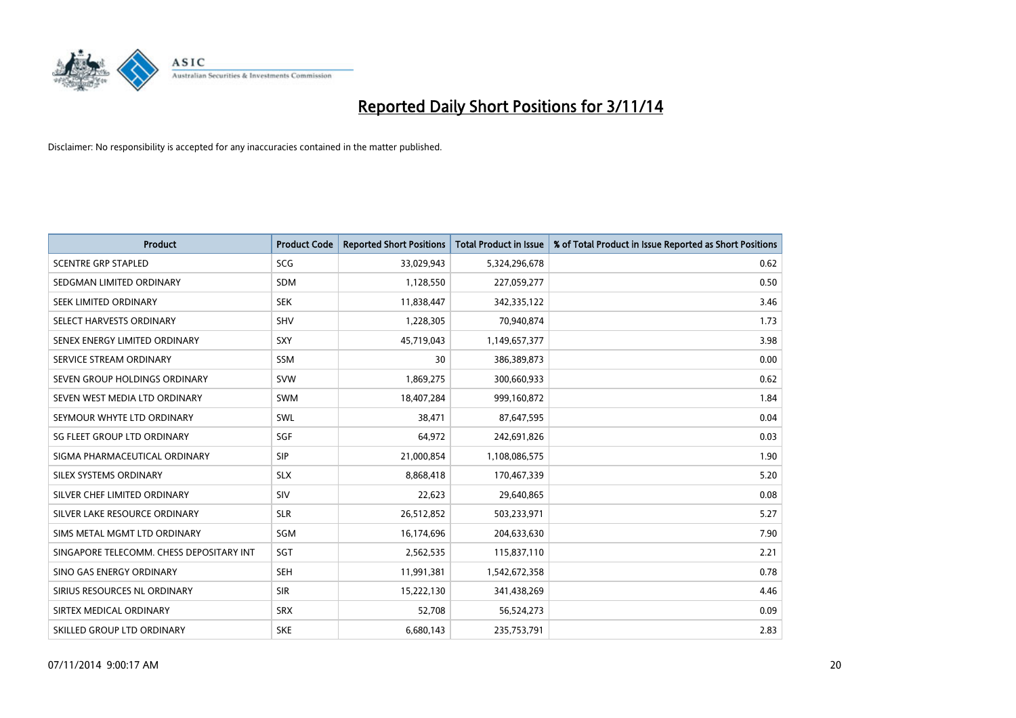

| <b>Product</b>                           | <b>Product Code</b> | <b>Reported Short Positions</b> | <b>Total Product in Issue</b> | % of Total Product in Issue Reported as Short Positions |
|------------------------------------------|---------------------|---------------------------------|-------------------------------|---------------------------------------------------------|
| <b>SCENTRE GRP STAPLED</b>               | <b>SCG</b>          | 33,029,943                      | 5,324,296,678                 | 0.62                                                    |
| SEDGMAN LIMITED ORDINARY                 | <b>SDM</b>          | 1,128,550                       | 227,059,277                   | 0.50                                                    |
| SEEK LIMITED ORDINARY                    | <b>SEK</b>          | 11,838,447                      | 342,335,122                   | 3.46                                                    |
| SELECT HARVESTS ORDINARY                 | <b>SHV</b>          | 1,228,305                       | 70,940,874                    | 1.73                                                    |
| SENEX ENERGY LIMITED ORDINARY            | SXY                 | 45,719,043                      | 1,149,657,377                 | 3.98                                                    |
| SERVICE STREAM ORDINARY                  | SSM                 | 30                              | 386,389,873                   | 0.00                                                    |
| SEVEN GROUP HOLDINGS ORDINARY            | <b>SVW</b>          | 1,869,275                       | 300,660,933                   | 0.62                                                    |
| SEVEN WEST MEDIA LTD ORDINARY            | SWM                 | 18,407,284                      | 999,160,872                   | 1.84                                                    |
| SEYMOUR WHYTE LTD ORDINARY               | <b>SWL</b>          | 38,471                          | 87,647,595                    | 0.04                                                    |
| SG FLEET GROUP LTD ORDINARY              | SGF                 | 64,972                          | 242,691,826                   | 0.03                                                    |
| SIGMA PHARMACEUTICAL ORDINARY            | <b>SIP</b>          | 21,000,854                      | 1,108,086,575                 | 1.90                                                    |
| SILEX SYSTEMS ORDINARY                   | <b>SLX</b>          | 8,868,418                       | 170,467,339                   | 5.20                                                    |
| SILVER CHEF LIMITED ORDINARY             | SIV                 | 22,623                          | 29,640,865                    | 0.08                                                    |
| SILVER LAKE RESOURCE ORDINARY            | <b>SLR</b>          | 26,512,852                      | 503,233,971                   | 5.27                                                    |
| SIMS METAL MGMT LTD ORDINARY             | SGM                 | 16,174,696                      | 204,633,630                   | 7.90                                                    |
| SINGAPORE TELECOMM. CHESS DEPOSITARY INT | SGT                 | 2,562,535                       | 115,837,110                   | 2.21                                                    |
| SINO GAS ENERGY ORDINARY                 | <b>SEH</b>          | 11,991,381                      | 1,542,672,358                 | 0.78                                                    |
| SIRIUS RESOURCES NL ORDINARY             | <b>SIR</b>          | 15,222,130                      | 341,438,269                   | 4.46                                                    |
| SIRTEX MEDICAL ORDINARY                  | <b>SRX</b>          | 52,708                          | 56,524,273                    | 0.09                                                    |
| SKILLED GROUP LTD ORDINARY               | <b>SKE</b>          | 6,680,143                       | 235,753,791                   | 2.83                                                    |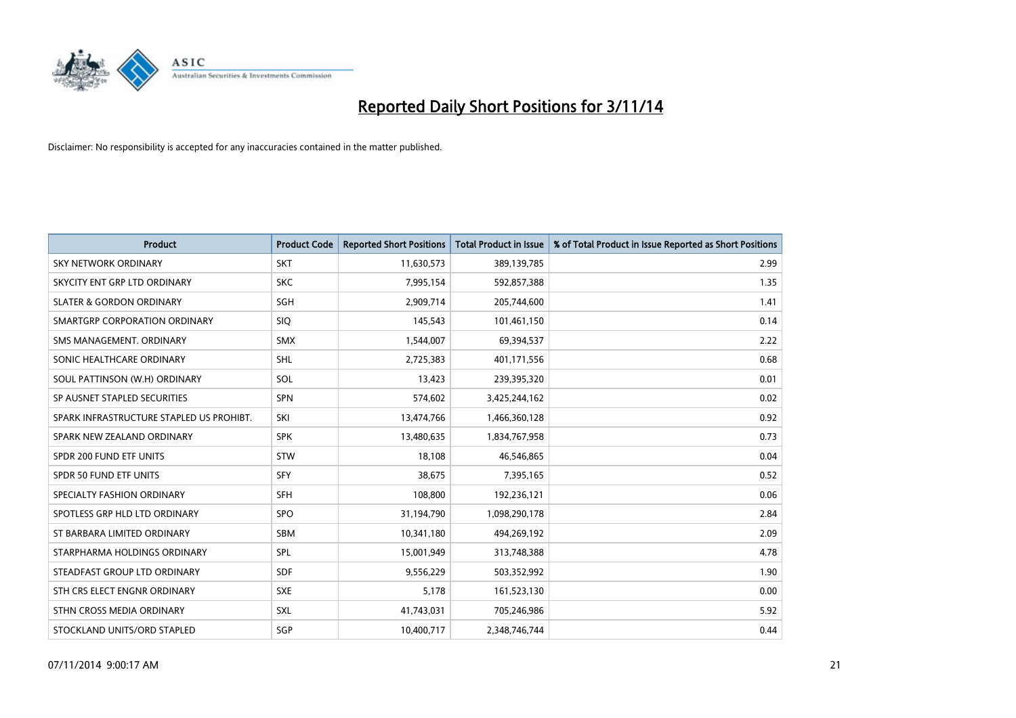

| <b>Product</b>                           | <b>Product Code</b> | <b>Reported Short Positions</b> | <b>Total Product in Issue</b> | % of Total Product in Issue Reported as Short Positions |
|------------------------------------------|---------------------|---------------------------------|-------------------------------|---------------------------------------------------------|
| <b>SKY NETWORK ORDINARY</b>              | <b>SKT</b>          | 11,630,573                      | 389,139,785                   | 2.99                                                    |
| SKYCITY ENT GRP LTD ORDINARY             | <b>SKC</b>          | 7,995,154                       | 592,857,388                   | 1.35                                                    |
| <b>SLATER &amp; GORDON ORDINARY</b>      | SGH                 | 2,909,714                       | 205,744,600                   | 1.41                                                    |
| SMARTGRP CORPORATION ORDINARY            | <b>SIQ</b>          | 145,543                         | 101,461,150                   | 0.14                                                    |
| SMS MANAGEMENT, ORDINARY                 | <b>SMX</b>          | 1,544,007                       | 69,394,537                    | 2.22                                                    |
| SONIC HEALTHCARE ORDINARY                | <b>SHL</b>          | 2,725,383                       | 401,171,556                   | 0.68                                                    |
| SOUL PATTINSON (W.H) ORDINARY            | SOL                 | 13,423                          | 239,395,320                   | 0.01                                                    |
| SP AUSNET STAPLED SECURITIES             | <b>SPN</b>          | 574,602                         | 3,425,244,162                 | 0.02                                                    |
| SPARK INFRASTRUCTURE STAPLED US PROHIBT. | SKI                 | 13,474,766                      | 1,466,360,128                 | 0.92                                                    |
| SPARK NEW ZEALAND ORDINARY               | <b>SPK</b>          | 13,480,635                      | 1,834,767,958                 | 0.73                                                    |
| SPDR 200 FUND ETF UNITS                  | <b>STW</b>          | 18,108                          | 46,546,865                    | 0.04                                                    |
| SPDR 50 FUND ETF UNITS                   | <b>SFY</b>          | 38,675                          | 7,395,165                     | 0.52                                                    |
| SPECIALTY FASHION ORDINARY               | <b>SFH</b>          | 108,800                         | 192,236,121                   | 0.06                                                    |
| SPOTLESS GRP HLD LTD ORDINARY            | SPO                 | 31,194,790                      | 1,098,290,178                 | 2.84                                                    |
| ST BARBARA LIMITED ORDINARY              | <b>SBM</b>          | 10,341,180                      | 494,269,192                   | 2.09                                                    |
| STARPHARMA HOLDINGS ORDINARY             | SPL                 | 15,001,949                      | 313,748,388                   | 4.78                                                    |
| STEADFAST GROUP LTD ORDINARY             | SDF                 | 9,556,229                       | 503,352,992                   | 1.90                                                    |
| STH CRS ELECT ENGNR ORDINARY             | <b>SXE</b>          | 5,178                           | 161,523,130                   | 0.00                                                    |
| STHN CROSS MEDIA ORDINARY                | SXL                 | 41,743,031                      | 705,246,986                   | 5.92                                                    |
| STOCKLAND UNITS/ORD STAPLED              | SGP                 | 10,400,717                      | 2,348,746,744                 | 0.44                                                    |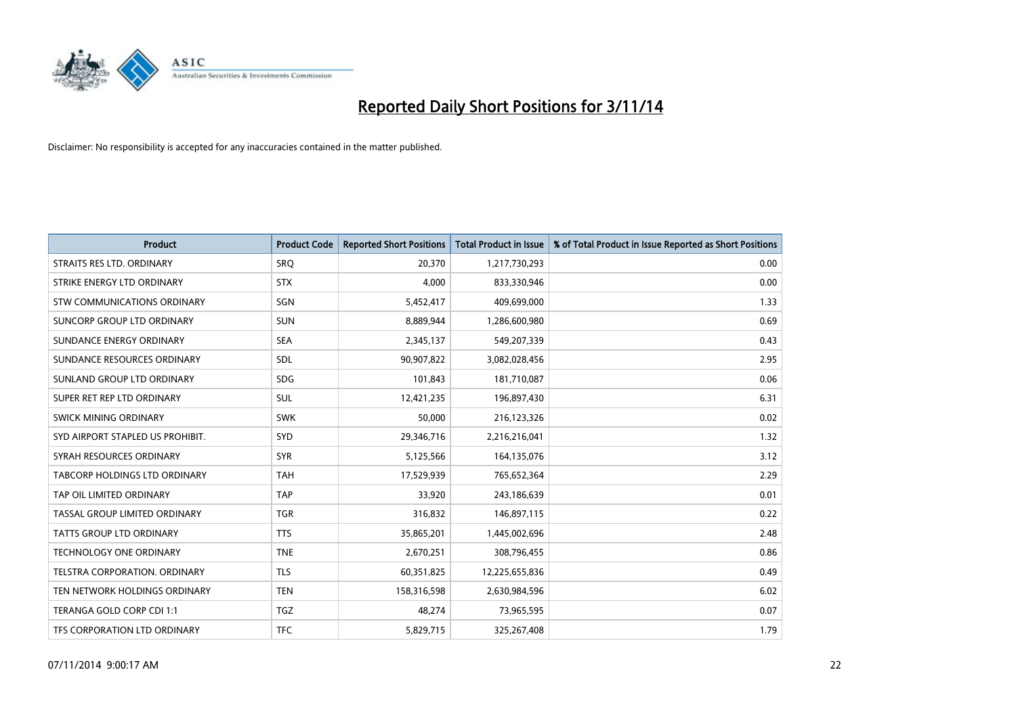

| <b>Product</b>                       | <b>Product Code</b> | <b>Reported Short Positions</b> | <b>Total Product in Issue</b> | % of Total Product in Issue Reported as Short Positions |
|--------------------------------------|---------------------|---------------------------------|-------------------------------|---------------------------------------------------------|
| STRAITS RES LTD. ORDINARY            | SRO                 | 20,370                          | 1,217,730,293                 | 0.00                                                    |
| STRIKE ENERGY LTD ORDINARY           | <b>STX</b>          | 4,000                           | 833,330,946                   | 0.00                                                    |
| STW COMMUNICATIONS ORDINARY          | SGN                 | 5,452,417                       | 409,699,000                   | 1.33                                                    |
| SUNCORP GROUP LTD ORDINARY           | <b>SUN</b>          | 8,889,944                       | 1,286,600,980                 | 0.69                                                    |
| SUNDANCE ENERGY ORDINARY             | <b>SEA</b>          | 2,345,137                       | 549,207,339                   | 0.43                                                    |
| SUNDANCE RESOURCES ORDINARY          | SDL                 | 90,907,822                      | 3,082,028,456                 | 2.95                                                    |
| SUNLAND GROUP LTD ORDINARY           | <b>SDG</b>          | 101,843                         | 181,710,087                   | 0.06                                                    |
| SUPER RET REP LTD ORDINARY           | <b>SUL</b>          | 12,421,235                      | 196,897,430                   | 6.31                                                    |
| SWICK MINING ORDINARY                | <b>SWK</b>          | 50,000                          | 216,123,326                   | 0.02                                                    |
| SYD AIRPORT STAPLED US PROHIBIT.     | <b>SYD</b>          | 29,346,716                      | 2,216,216,041                 | 1.32                                                    |
| SYRAH RESOURCES ORDINARY             | <b>SYR</b>          | 5,125,566                       | 164,135,076                   | 3.12                                                    |
| <b>TABCORP HOLDINGS LTD ORDINARY</b> | <b>TAH</b>          | 17,529,939                      | 765,652,364                   | 2.29                                                    |
| TAP OIL LIMITED ORDINARY             | <b>TAP</b>          | 33.920                          | 243,186,639                   | 0.01                                                    |
| TASSAL GROUP LIMITED ORDINARY        | <b>TGR</b>          | 316,832                         | 146,897,115                   | 0.22                                                    |
| <b>TATTS GROUP LTD ORDINARY</b>      | <b>TTS</b>          | 35,865,201                      | 1,445,002,696                 | 2.48                                                    |
| <b>TECHNOLOGY ONE ORDINARY</b>       | <b>TNE</b>          | 2,670,251                       | 308,796,455                   | 0.86                                                    |
| TELSTRA CORPORATION, ORDINARY        | <b>TLS</b>          | 60,351,825                      | 12,225,655,836                | 0.49                                                    |
| TEN NETWORK HOLDINGS ORDINARY        | <b>TEN</b>          | 158,316,598                     | 2,630,984,596                 | 6.02                                                    |
| TERANGA GOLD CORP CDI 1:1            | <b>TGZ</b>          | 48,274                          | 73,965,595                    | 0.07                                                    |
| TFS CORPORATION LTD ORDINARY         | <b>TFC</b>          | 5,829,715                       | 325,267,408                   | 1.79                                                    |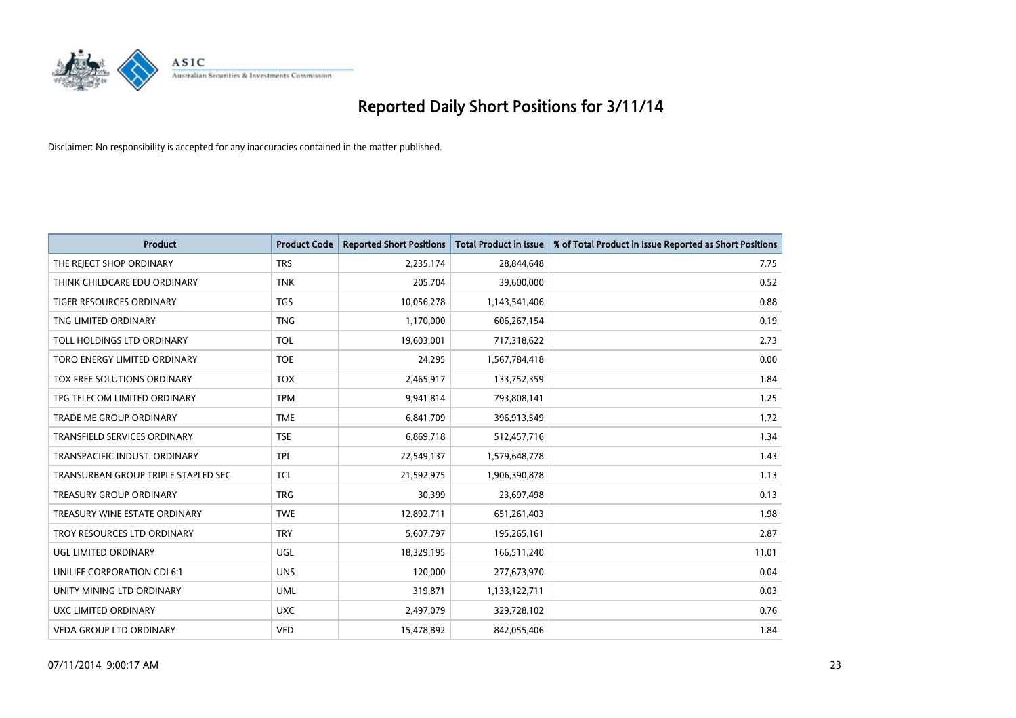

| <b>Product</b>                       | <b>Product Code</b> | <b>Reported Short Positions</b> | <b>Total Product in Issue</b> | % of Total Product in Issue Reported as Short Positions |
|--------------------------------------|---------------------|---------------------------------|-------------------------------|---------------------------------------------------------|
| THE REJECT SHOP ORDINARY             | <b>TRS</b>          | 2,235,174                       | 28,844,648                    | 7.75                                                    |
| THINK CHILDCARE EDU ORDINARY         | <b>TNK</b>          | 205,704                         | 39,600,000                    | 0.52                                                    |
| <b>TIGER RESOURCES ORDINARY</b>      | <b>TGS</b>          | 10,056,278                      | 1,143,541,406                 | 0.88                                                    |
| TNG LIMITED ORDINARY                 | <b>TNG</b>          | 1,170,000                       | 606,267,154                   | 0.19                                                    |
| TOLL HOLDINGS LTD ORDINARY           | <b>TOL</b>          | 19,603,001                      | 717,318,622                   | 2.73                                                    |
| TORO ENERGY LIMITED ORDINARY         | <b>TOE</b>          | 24,295                          | 1,567,784,418                 | 0.00                                                    |
| TOX FREE SOLUTIONS ORDINARY          | <b>TOX</b>          | 2,465,917                       | 133,752,359                   | 1.84                                                    |
| TPG TELECOM LIMITED ORDINARY         | <b>TPM</b>          | 9,941,814                       | 793,808,141                   | 1.25                                                    |
| <b>TRADE ME GROUP ORDINARY</b>       | <b>TME</b>          | 6,841,709                       | 396,913,549                   | 1.72                                                    |
| <b>TRANSFIELD SERVICES ORDINARY</b>  | <b>TSE</b>          | 6,869,718                       | 512,457,716                   | 1.34                                                    |
| TRANSPACIFIC INDUST. ORDINARY        | <b>TPI</b>          | 22,549,137                      | 1,579,648,778                 | 1.43                                                    |
| TRANSURBAN GROUP TRIPLE STAPLED SEC. | <b>TCL</b>          | 21,592,975                      | 1,906,390,878                 | 1.13                                                    |
| TREASURY GROUP ORDINARY              | <b>TRG</b>          | 30,399                          | 23,697,498                    | 0.13                                                    |
| TREASURY WINE ESTATE ORDINARY        | <b>TWE</b>          | 12,892,711                      | 651,261,403                   | 1.98                                                    |
| TROY RESOURCES LTD ORDINARY          | <b>TRY</b>          | 5,607,797                       | 195,265,161                   | 2.87                                                    |
| UGL LIMITED ORDINARY                 | UGL                 | 18,329,195                      | 166,511,240                   | 11.01                                                   |
| UNILIFE CORPORATION CDI 6:1          | <b>UNS</b>          | 120,000                         | 277,673,970                   | 0.04                                                    |
| UNITY MINING LTD ORDINARY            | <b>UML</b>          | 319,871                         | 1,133,122,711                 | 0.03                                                    |
| UXC LIMITED ORDINARY                 | <b>UXC</b>          | 2,497,079                       | 329,728,102                   | 0.76                                                    |
| <b>VEDA GROUP LTD ORDINARY</b>       | <b>VED</b>          | 15,478,892                      | 842,055,406                   | 1.84                                                    |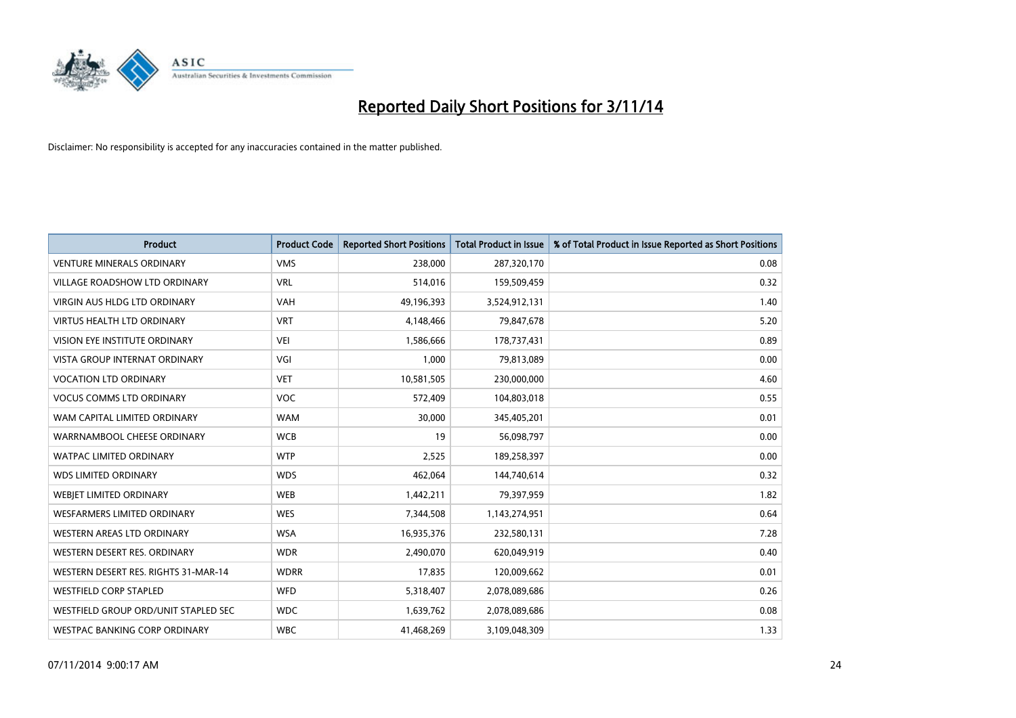

| <b>Product</b>                       | <b>Product Code</b> | <b>Reported Short Positions</b> | <b>Total Product in Issue</b> | % of Total Product in Issue Reported as Short Positions |
|--------------------------------------|---------------------|---------------------------------|-------------------------------|---------------------------------------------------------|
| <b>VENTURE MINERALS ORDINARY</b>     | <b>VMS</b>          | 238,000                         | 287,320,170                   | 0.08                                                    |
| VILLAGE ROADSHOW LTD ORDINARY        | <b>VRL</b>          | 514,016                         | 159,509,459                   | 0.32                                                    |
| <b>VIRGIN AUS HLDG LTD ORDINARY</b>  | <b>VAH</b>          | 49,196,393                      | 3,524,912,131                 | 1.40                                                    |
| <b>VIRTUS HEALTH LTD ORDINARY</b>    | <b>VRT</b>          | 4,148,466                       | 79,847,678                    | 5.20                                                    |
| <b>VISION EYE INSTITUTE ORDINARY</b> | <b>VEI</b>          | 1,586,666                       | 178,737,431                   | 0.89                                                    |
| <b>VISTA GROUP INTERNAT ORDINARY</b> | VGI                 | 1,000                           | 79,813,089                    | 0.00                                                    |
| <b>VOCATION LTD ORDINARY</b>         | <b>VET</b>          | 10,581,505                      | 230,000,000                   | 4.60                                                    |
| <b>VOCUS COMMS LTD ORDINARY</b>      | <b>VOC</b>          | 572,409                         | 104,803,018                   | 0.55                                                    |
| WAM CAPITAL LIMITED ORDINARY         | <b>WAM</b>          | 30.000                          | 345,405,201                   | 0.01                                                    |
| WARRNAMBOOL CHEESE ORDINARY          | <b>WCB</b>          | 19                              | 56,098,797                    | 0.00                                                    |
| WATPAC LIMITED ORDINARY              | <b>WTP</b>          | 2,525                           | 189,258,397                   | 0.00                                                    |
| <b>WDS LIMITED ORDINARY</b>          | <b>WDS</b>          | 462,064                         | 144,740,614                   | 0.32                                                    |
| WEBIET LIMITED ORDINARY              | <b>WEB</b>          | 1,442,211                       | 79,397,959                    | 1.82                                                    |
| <b>WESFARMERS LIMITED ORDINARY</b>   | <b>WES</b>          | 7,344,508                       | 1,143,274,951                 | 0.64                                                    |
| WESTERN AREAS LTD ORDINARY           | <b>WSA</b>          | 16,935,376                      | 232,580,131                   | 7.28                                                    |
| WESTERN DESERT RES. ORDINARY         | <b>WDR</b>          | 2,490,070                       | 620,049,919                   | 0.40                                                    |
| WESTERN DESERT RES. RIGHTS 31-MAR-14 | <b>WDRR</b>         | 17,835                          | 120,009,662                   | 0.01                                                    |
| <b>WESTFIELD CORP STAPLED</b>        | <b>WFD</b>          | 5,318,407                       | 2,078,089,686                 | 0.26                                                    |
| WESTFIELD GROUP ORD/UNIT STAPLED SEC | <b>WDC</b>          | 1,639,762                       | 2,078,089,686                 | 0.08                                                    |
| WESTPAC BANKING CORP ORDINARY        | <b>WBC</b>          | 41,468,269                      | 3,109,048,309                 | 1.33                                                    |